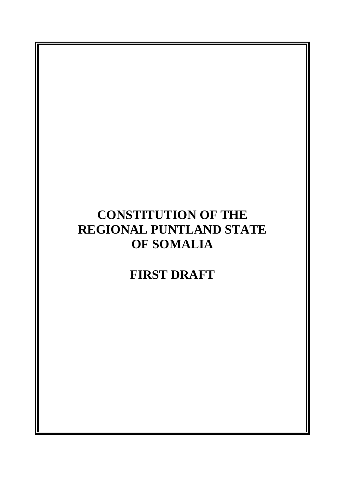# **CONSTITUTION OF THE REGIONAL PUNTLAND STATE OF SOMALIA**

# **FIRST DRAFT**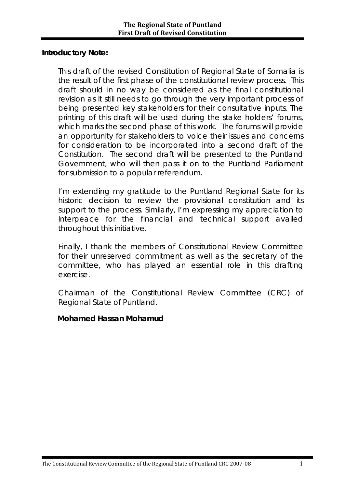#### **Introductory Note:**

This draft of the revised Constitution of Regional State of Somalia is the result of the first phase of the constitutional review process. This draft should in no way be considered as the final constitutional revision as it still needs to go through the very important process of being presented key stakeholders for their consultative inputs. The printing of this draft will be used during the stake holders' forums, which marks the second phase of this work. The forums will provide an opportunity for stakeholders to voice their issues and concerns for consideration to be incorporated into a second draft of the Constitution. The second draft will be presented to the Puntland Government, who will then pass it on to the Puntland Parliament for submission to a popular referendum.

I'm extending my gratitude to the Puntland Regional State for its historic decision to review the provisional constitution and its support to the process. Similarly, I'm expressing my appreciation to Interpeace for the financial and technical support availed throughout this initiative.

Finally, I thank the members of Constitutional Review Committee for their unreserved commitment as well as the secretary of the committee, who has played an essential role in this drafting exercise.

Chairman of the Constitutional Review Committee (CRC) of Regional State of Puntland.

#### **Mohamed Hassan Mohamud**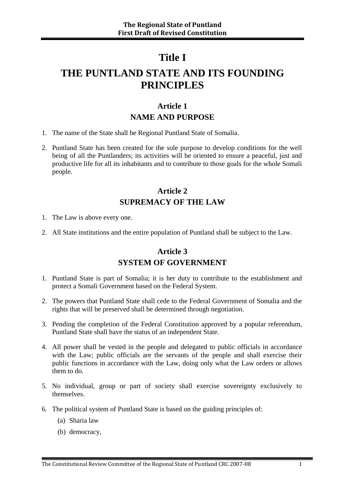# **Title I**

# **THE PUNTLAND STATE AND ITS FOUNDING PRINCIPLES**

### **Article 1 NAME AND PURPOSE**

- 1. The name of the State shall be Regional Puntland State of Somalia.
- 2. Puntland State has been created for the sole purpose to develop conditions for the well being of all the Puntlanders; its activities will be oriented to ensure a peaceful, just and productive life for all its inhabitants and to contribute to those goals for the whole Somali people.

### **Article 2 SUPREMACY OF THE LAW**

- 1. The Law is above every one.
- 2. All State institutions and the entire population of Puntland shall be subject to the Law.

### **Article 3 SYSTEM OF GOVERNMENT**

- 1. Puntland State is part of Somalia; it is her duty to contribute to the establishment and protect a Somali Government based on the Federal System.
- 2. The powers that Puntland State shall cede to the Federal Government of Somalia and the rights that will be preserved shall be determined through negotiation.
- 3. Pending the completion of the Federal Constitution approved by a popular referendum, Puntland State shall have the status of an independent State.
- 4. All power shall be vested in the people and delegated to public officials in accordance with the Law; public officials are the servants of the people and shall exercise their public functions in accordance with the Law, doing only what the Law orders or allows them to do.
- 5. No individual, group or part of society shall exercise sovereignty exclusively to themselves.
- 6. The political system of Puntland State is based on the guiding principles of:
	- (a) Sharia law
	- (b) democracy,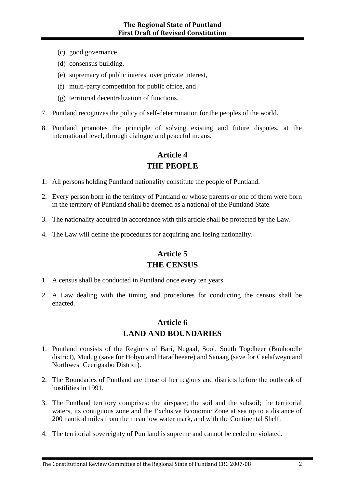- (c) good governance,
- (d) consensus building,
- (e) supremacy of public interest over private interest,
- (f) multi-party competition for public office, and
- (g) territorial decentralization of functions.
- 7. Puntland recognizes the policy of self-determination for the peoples of the world.
- 8. Puntland promotes the principle of solving existing and future disputes, at the international level, through dialogue and peaceful means.

### **Article 4 THE PEOPLE**

- 1. All persons holding Puntland nationality constitute the people of Puntland.
- 2. Every person born in the territory of Puntland or whose parents or one of them were born in the territory of Puntland shall be deemed as a national of the Puntland State.
- 3. The nationality acquired in accordance with this article shall be protected by the Law.
- 4. The Law will define the procedures for acquiring and losing nationality.

### **Article 5 THE CENSUS**

- 1. A census shall be conducted in Puntland once every ten years.
- 2. A Law dealing with the timing and procedures for conducting the census shall be enacted.

### **Article 6 LAND AND BOUNDARIES**

- 1. Puntland consists of the Regions of Bari, Nugaal, Sool, South Togdheer (Buuhoodle district), Mudug (save for Hobyo and Haradheeere) and Sanaag (save for Ceelafweyn and Northwest Ceerigaabo District).
- 2. The Boundaries of Puntland are those of her regions and districts before the outbreak of hostilities in 1991.
- 3. The Puntland territory comprises: the airspace; the soil and the subsoil; the territorial waters, its contiguous zone and the Exclusive Economic Zone at sea up to a distance of 200 nautical miles from the mean low water mark, and with the Continental Shelf.
- 4. The territorial sovereignty of Puntland is supreme and cannot be ceded or violated.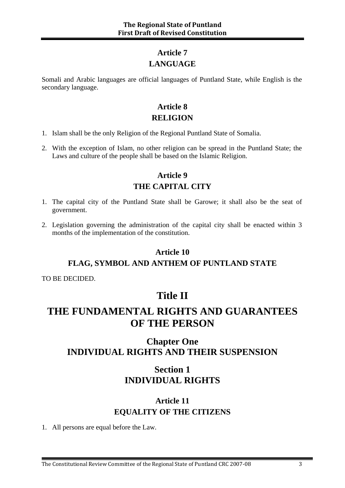### **Article 7 LANGUAGE**

Somali and Arabic languages are official languages of Puntland State, while English is the secondary language.

### **Article 8 RELIGION**

- 1. Islam shall be the only Religion of the Regional Puntland State of Somalia.
- 2. With the exception of Islam, no other religion can be spread in the Puntland State; the Laws and culture of the people shall be based on the Islamic Religion.

### **Article 9 THE CAPITAL CITY**

- 1. The capital city of the Puntland State shall be Garowe; it shall also be the seat of government.
- 2. Legislation governing the administration of the capital city shall be enacted within 3 months of the implementation of the constitution.

#### **Article 10**

#### **FLAG, SYMBOL AND ANTHEM OF PUNTLAND STATE**

TO BE DECIDED.

### **Title II**

# **THE FUNDAMENTAL RIGHTS AND GUARANTEES OF THE PERSON**

### **Chapter One INDIVIDUAL RIGHTS AND THEIR SUSPENSION**

### **Section 1 INDIVIDUAL RIGHTS**

### **Article 11 EQUALITY OF THE CITIZENS**

1. All persons are equal before the Law.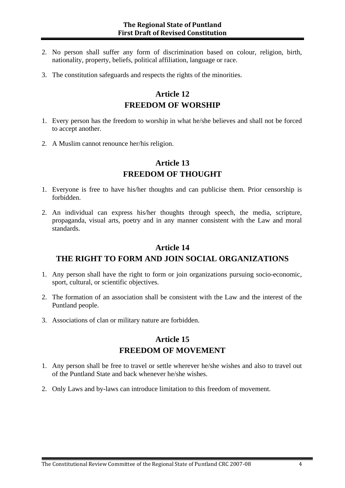- 2. No person shall suffer any form of discrimination based on colour, religion, birth, nationality, property, beliefs, political affiliation, language or race.
- 3. The constitution safeguards and respects the rights of the minorities.

#### **Article 12 FREEDOM OF WORSHIP**

- 1. Every person has the freedom to worship in what he/she believes and shall not be forced to accept another.
- 2. A Muslim cannot renounce her/his religion.

### **Article 13 FREEDOM OF THOUGHT**

- 1. Everyone is free to have his/her thoughts and can publicise them. Prior censorship is forbidden.
- 2. An individual can express his/her thoughts through speech, the media, scripture, propaganda, visual arts, poetry and in any manner consistent with the Law and moral standards.

#### **Article 14**

#### **THE RIGHT TO FORM AND JOIN SOCIAL ORGANIZATIONS**

- 1. Any person shall have the right to form or join organizations pursuing socio-economic, sport, cultural, or scientific objectives.
- 2. The formation of an association shall be consistent with the Law and the interest of the Puntland people.
- 3. Associations of clan or military nature are forbidden.

#### **Article 15 FREEDOM OF MOVEMENT**

- 1. Any person shall be free to travel or settle wherever he/she wishes and also to travel out of the Puntland State and back whenever he/she wishes.
- 2. Only Laws and by-laws can introduce limitation to this freedom of movement.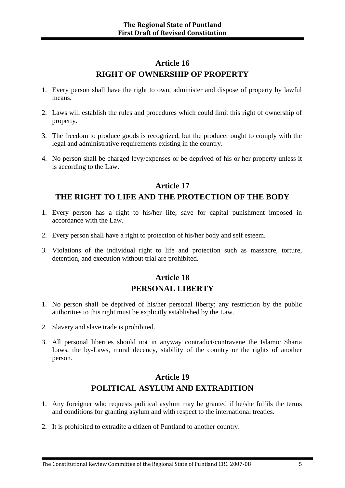### **Article 16 RIGHT OF OWNERSHIP OF PROPERTY**

- 1. Every person shall have the right to own, administer and dispose of property by lawful means.
- 2. Laws will establish the rules and procedures which could limit this right of ownership of property.
- 3. The freedom to produce goods is recognized, but the producer ought to comply with the legal and administrative requirements existing in the country.
- 4. No person shall be charged levy/expenses or be deprived of his or her property unless it is according to the Law.

#### **Article 17 THE RIGHT TO LIFE AND THE PROTECTION OF THE BODY**

- 1. Every person has a right to his/her life; save for capital punishment imposed in accordance with the Law.
- 2. Every person shall have a right to protection of his/her body and self esteem.
- 3. Violations of the individual right to life and protection such as massacre, torture, detention, and execution without trial are prohibited.

#### **Article 18 PERSONAL LIBERTY**

- 1. No person shall be deprived of his/her personal liberty; any restriction by the public authorities to this right must be explicitly established by the Law.
- 2. Slavery and slave trade is prohibited.
- 3. All personal liberties should not in anyway contradict/contravene the Islamic Sharia Laws, the by-Laws, moral decency, stability of the country or the rights of another person.

### **Article 19 POLITICAL ASYLUM AND EXTRADITION**

- 1. Any foreigner who requests political asylum may be granted if he/she fulfils the terms and conditions for granting asylum and with respect to the international treaties.
- 2. It is prohibited to extradite a citizen of Puntland to another country.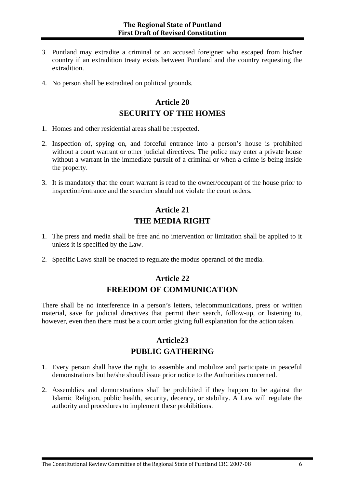- 3. Puntland may extradite a criminal or an accused foreigner who escaped from his/her country if an extradition treaty exists between Puntland and the country requesting the extradition.
- 4. No person shall be extradited on political grounds.

### **Article 20 SECURITY OF THE HOMES**

- 1. Homes and other residential areas shall be respected.
- 2. Inspection of, spying on, and forceful entrance into a person's house is prohibited without a court warrant or other judicial directives. The police may enter a private house without a warrant in the immediate pursuit of a criminal or when a crime is being inside the property.
- 3. It is mandatory that the court warrant is read to the owner/occupant of the house prior to inspection/entrance and the searcher should not violate the court orders.

### **Article 21 THE MEDIA RIGHT**

- 1. The press and media shall be free and no intervention or limitation shall be applied to it unless it is specified by the Law.
- 2. Specific Laws shall be enacted to regulate the modus operandi of the media.

### **Article 22 FREEDOM OF COMMUNICATION**

There shall be no interference in a person's letters, telecommunications, press or written material, save for judicial directives that permit their search, follow-up, or listening to, however, even then there must be a court order giving full explanation for the action taken.

#### **Article23 PUBLIC GATHERING**

- 1. Every person shall have the right to assemble and mobilize and participate in peaceful demonstrations but he/she should issue prior notice to the Authorities concerned.
- 2. Assemblies and demonstrations shall be prohibited if they happen to be against the Islamic Religion, public health, security, decency, or stability. A Law will regulate the authority and procedures to implement these prohibitions.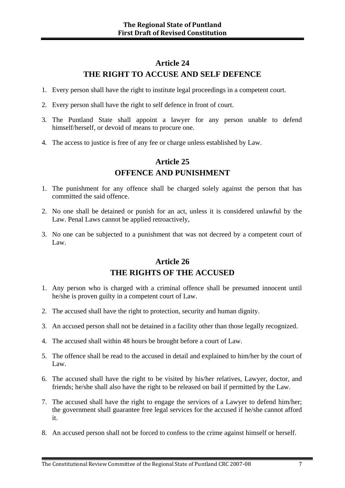### **Article 24 THE RIGHT TO ACCUSE AND SELF DEFENCE**

- 1. Every person shall have the right to institute legal proceedings in a competent court.
- 2. Every person shall have the right to self defence in front of court.
- 3. The Puntland State shall appoint a lawyer for any person unable to defend himself/herself, or devoid of means to procure one.
- 4. The access to justice is free of any fee or charge unless established by Law.

### **Article 25 OFFENCE AND PUNISHMENT**

- 1. The punishment for any offence shall be charged solely against the person that has committed the said offence.
- 2. No one shall be detained or punish for an act, unless it is considered unlawful by the Law. Penal Laws cannot be applied retroactively,
- 3. No one can be subjected to a punishment that was not decreed by a competent court of Law.

### **Article 26 THE RIGHTS OF THE ACCUSED**

- 1. Any person who is charged with a criminal offence shall be presumed innocent until he/she is proven guilty in a competent court of Law.
- 2. The accused shall have the right to protection, security and human dignity.
- 3. An accused person shall not be detained in a facility other than those legally recognized.
- 4. The accused shall within 48 hours be brought before a court of Law.
- 5. The offence shall be read to the accused in detail and explained to him/her by the court of Law.
- 6. The accused shall have the right to be visited by his/her relatives, Lawyer, doctor, and friends; he/she shall also have the right to be released on bail if permitted by the Law.
- 7. The accused shall have the right to engage the services of a Lawyer to defend him/her; the government shall guarantee free legal services for the accused if he/she cannot afford it.
- 8. An accused person shall not be forced to confess to the crime against himself or herself.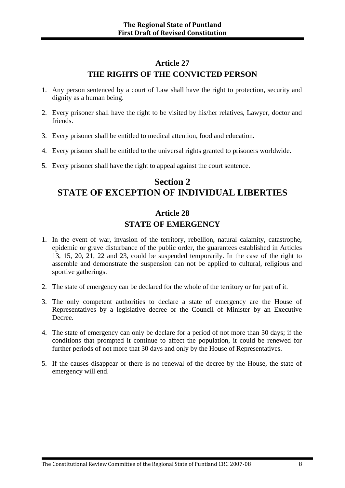### **Article 27 THE RIGHTS OF THE CONVICTED PERSON**

- 1. Any person sentenced by a court of Law shall have the right to protection, security and dignity as a human being.
- 2. Every prisoner shall have the right to be visited by his/her relatives, Lawyer, doctor and friends.
- 3. Every prisoner shall be entitled to medical attention, food and education.
- 4. Every prisoner shall be entitled to the universal rights granted to prisoners worldwide.
- 5. Every prisoner shall have the right to appeal against the court sentence.

### **Section 2 STATE OF EXCEPTION OF INDIVIDUAL LIBERTIES**

### **Article 28 STATE OF EMERGENCY**

- 1. In the event of war, invasion of the territory, rebellion, natural calamity, catastrophe, epidemic or grave disturbance of the public order, the guarantees established in Articles 13, 15, 20, 21, 22 and 23, could be suspended temporarily. In the case of the right to assemble and demonstrate the suspension can not be applied to cultural, religious and sportive gatherings.
- 2. The state of emergency can be declared for the whole of the territory or for part of it.
- 3. The only competent authorities to declare a state of emergency are the House of Representatives by a legislative decree or the Council of Minister by an Executive Decree.
- 4. The state of emergency can only be declare for a period of not more than 30 days; if the conditions that prompted it continue to affect the population, it could be renewed for further periods of not more that 30 days and only by the House of Representatives.
- 5. If the causes disappear or there is no renewal of the decree by the House, the state of emergency will end.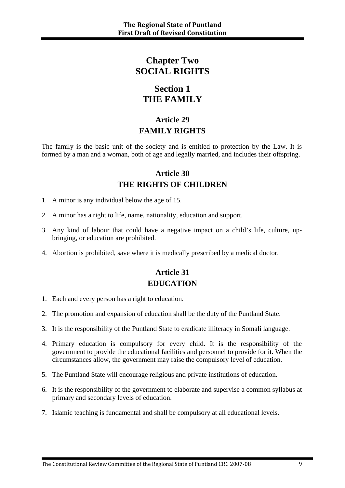### **Chapter Two SOCIAL RIGHTS**

### **Section 1 THE FAMILY**

### **Article 29 FAMILY RIGHTS**

The family is the basic unit of the society and is entitled to protection by the Law. It is formed by a man and a woman, both of age and legally married, and includes their offspring.

### **Article 30 THE RIGHTS OF CHILDREN**

- 1. A minor is any individual below the age of 15.
- 2. A minor has a right to life, name, nationality, education and support.
- 3. Any kind of labour that could have a negative impact on a child's life, culture, upbringing, or education are prohibited.
- 4. Abortion is prohibited, save where it is medically prescribed by a medical doctor.

### **Article 31 EDUCATION**

- 1. Each and every person has a right to education.
- 2. The promotion and expansion of education shall be the duty of the Puntland State.
- 3. It is the responsibility of the Puntland State to eradicate illiteracy in Somali language.
- 4. Primary education is compulsory for every child. It is the responsibility of the government to provide the educational facilities and personnel to provide for it. When the circumstances allow, the government may raise the compulsory level of education.
- 5. The Puntland State will encourage religious and private institutions of education.
- 6. It is the responsibility of the government to elaborate and supervise a common syllabus at primary and secondary levels of education.
- 7. Islamic teaching is fundamental and shall be compulsory at all educational levels.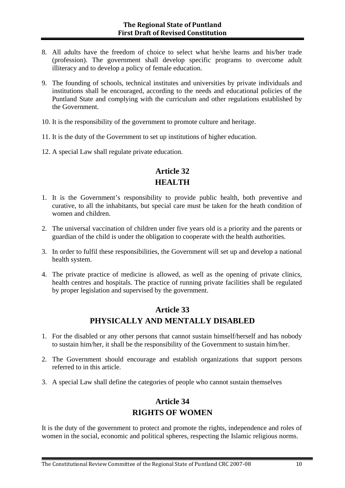- 8. All adults have the freedom of choice to select what he/she learns and his/her trade (profession). The government shall develop specific programs to overcome adult illiteracy and to develop a policy of female education.
- 9. The founding of schools, technical institutes and universities by private individuals and institutions shall be encouraged, according to the needs and educational policies of the Puntland State and complying with the curriculum and other regulations established by the Government.
- 10. It is the responsibility of the government to promote culture and heritage.
- 11. It is the duty of the Government to set up institutions of higher education.
- 12. A special Law shall regulate private education.

### **Article 32 HEALTH**

- 1. It is the Government's responsibility to provide public health, both preventive and curative, to all the inhabitants, but special care must be taken for the heath condition of women and children.
- 2. The universal vaccination of children under five years old is a priority and the parents or guardian of the child is under the obligation to cooperate with the health authorities.
- 3. In order to fulfil these responsibilities, the Government will set up and develop a national health system.
- 4. The private practice of medicine is allowed, as well as the opening of private clinics, health centres and hospitals. The practice of running private facilities shall be regulated by proper legislation and supervised by the government.

#### **Article 33 PHYSICALLY AND MENTALLY DISABLED**

- 1. For the disabled or any other persons that cannot sustain himself/herself and has nobody to sustain him/her, it shall be the responsibility of the Government to sustain him/her.
- 2. The Government should encourage and establish organizations that support persons referred to in this article.
- 3. A special Law shall define the categories of people who cannot sustain themselves

#### **Article 34 RIGHTS OF WOMEN**

It is the duty of the government to protect and promote the rights, independence and roles of women in the social, economic and political spheres, respecting the Islamic religious norms.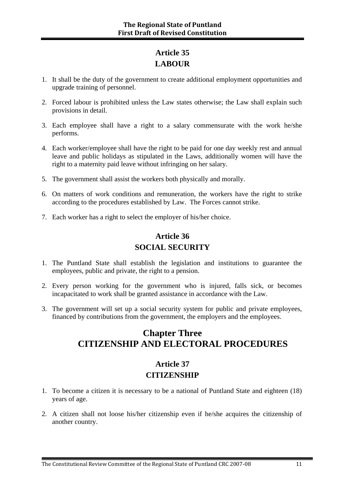### **Article 35 LABOUR**

- 1. It shall be the duty of the government to create additional employment opportunities and upgrade training of personnel.
- 2. Forced labour is prohibited unless the Law states otherwise; the Law shall explain such provisions in detail.
- 3. Each employee shall have a right to a salary commensurate with the work he/she performs.
- 4. Each worker/employee shall have the right to be paid for one day weekly rest and annual leave and public holidays as stipulated in the Laws, additionally women will have the right to a maternity paid leave without infringing on her salary.
- 5. The government shall assist the workers both physically and morally.
- 6. On matters of work conditions and remuneration, the workers have the right to strike according to the procedures established by Law. The Forces cannot strike.
- 7. Each worker has a right to select the employer of his/her choice.

### **Article 36 SOCIAL SECURITY**

- 1. The Puntland State shall establish the legislation and institutions to guarantee the employees, public and private, the right to a pension.
- 2. Every person working for the government who is injured, falls sick, or becomes incapacitated to work shall be granted assistance in accordance with the Law.
- 3. The government will set up a social security system for public and private employees, financed by contributions from the government, the employers and the employees.

### **Chapter Three CITIZENSHIP AND ELECTORAL PROCEDURES**

### **Article 37 CITIZENSHIP**

- 1. To become a citizen it is necessary to be a national of Puntland State and eighteen (18) years of age.
- 2. A citizen shall not loose his/her citizenship even if he/she acquires the citizenship of another country.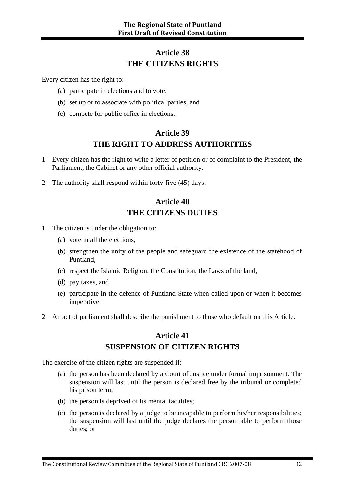### **Article 38 THE CITIZENS RIGHTS**

Every citizen has the right to:

- (a) participate in elections and to vote,
- (b) set up or to associate with political parties, and
- (c) compete for public office in elections.

### **Article 39 THE RIGHT TO ADDRESS AUTHORITIES**

- 1. Every citizen has the right to write a letter of petition or of complaint to the President, the Parliament, the Cabinet or any other official authority.
- 2. The authority shall respond within forty-five (45) days.

#### **Article 40 THE CITIZENS DUTIES**

- 1. The citizen is under the obligation to:
	- (a) vote in all the elections,
	- (b) strengthen the unity of the people and safeguard the existence of the statehood of Puntland,
	- (c) respect the Islamic Religion, the Constitution, the Laws of the land,
	- (d) pay taxes, and
	- (e) participate in the defence of Puntland State when called upon or when it becomes imperative.
- 2. An act of parliament shall describe the punishment to those who default on this Article.

#### **Article 41 SUSPENSION OF CITIZEN RIGHTS**

The exercise of the citizen rights are suspended if:

- (a) the person has been declared by a Court of Justice under formal imprisonment. The suspension will last until the person is declared free by the tribunal or completed his prison term;
- (b) the person is deprived of its mental faculties;
- (c) the person is declared by a judge to be incapable to perform his/her responsibilities; the suspension will last until the judge declares the person able to perform those duties; or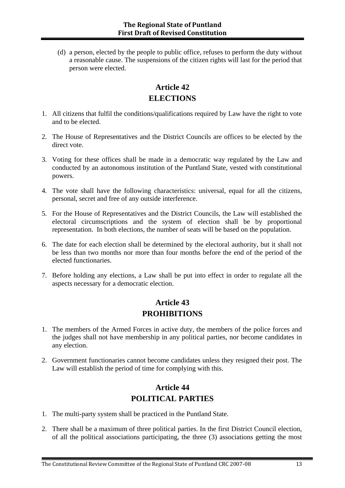(d) a person, elected by the people to public office, refuses to perform the duty without a reasonable cause. The suspensions of the citizen rights will last for the period that person were elected.

### **Article 42 ELECTIONS**

- 1. All citizens that fulfil the conditions/qualifications required by Law have the right to vote and to be elected.
- 2. The House of Representatives and the District Councils are offices to be elected by the direct vote.
- 3. Voting for these offices shall be made in a democratic way regulated by the Law and conducted by an autonomous institution of the Puntland State, vested with constitutional powers.
- 4. The vote shall have the following characteristics: universal, equal for all the citizens, personal, secret and free of any outside interference.
- 5. For the House of Representatives and the District Councils, the Law will established the electoral circumscriptions and the system of election shall be by proportional representation. In both elections, the number of seats will be based on the population.
- 6. The date for each election shall be determined by the electoral authority, but it shall not be less than two months nor more than four months before the end of the period of the elected functionaries.
- 7. Before holding any elections, a Law shall be put into effect in order to regulate all the aspects necessary for a democratic election.

### **Article 43 PROHIBITIONS**

- 1. The members of the Armed Forces in active duty, the members of the police forces and the judges shall not have membership in any political parties, nor become candidates in any election.
- 2. Government functionaries cannot become candidates unless they resigned their post. The Law will establish the period of time for complying with this.

### **Article 44 POLITICAL PARTIES**

- 1. The multi-party system shall be practiced in the Puntland State.
- 2. There shall be a maximum of three political parties. In the first District Council election, of all the political associations participating, the three (3) associations getting the most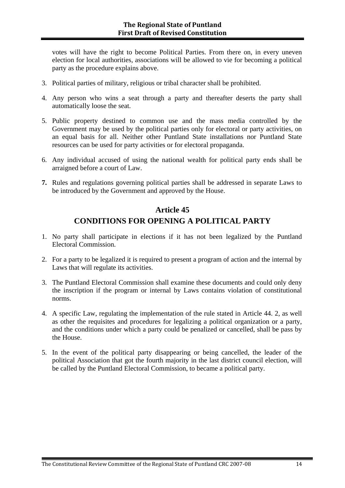votes will have the right to become Political Parties. From there on, in every uneven election for local authorities, associations will be allowed to vie for becoming a political party as the procedure explains above.

- 3. Political parties of military, religious or tribal character shall be prohibited.
- 4. Any person who wins a seat through a party and thereafter deserts the party shall automatically loose the seat.
- 5. Public property destined to common use and the mass media controlled by the Government may be used by the political parties only for electoral or party activities, on an equal basis for all. Neither other Puntland State installations nor Puntland State resources can be used for party activities or for electoral propaganda.
- 6. Any individual accused of using the national wealth for political party ends shall be arraigned before a court of Law.
- **7.** Rules and regulations governing political parties shall be addressed in separate Laws to be introduced by the Government and approved by the House.

### **Article 45 CONDITIONS FOR OPENING A POLITICAL PARTY**

- 1. No party shall participate in elections if it has not been legalized by the Puntland Electoral Commission.
- 2. For a party to be legalized it is required to present a program of action and the internal by Laws that will regulate its activities.
- 3. The Puntland Electoral Commission shall examine these documents and could only deny the inscription if the program or internal by Laws contains violation of constitutional norms.
- 4. A specific Law, regulating the implementation of the rule stated in Article 44. 2, as well as other the requisites and procedures for legalizing a political organization or a party, and the conditions under which a party could be penalized or cancelled, shall be pass by the House.
- 5. In the event of the political party disappearing or being cancelled, the leader of the political Association that got the fourth majority in the last district council election, will be called by the Puntland Electoral Commission, to became a political party.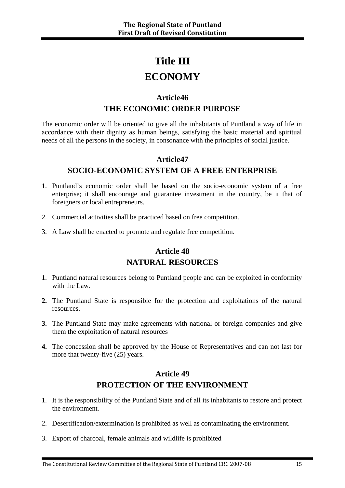# **Title III**

# **ECONOMY**

### **Article46 THE ECONOMIC ORDER PURPOSE**

The economic order will be oriented to give all the inhabitants of Puntland a way of life in accordance with their dignity as human beings, satisfying the basic material and spiritual needs of all the persons in the society, in consonance with the principles of social justice.

#### **Article47**

#### **SOCIO-ECONOMIC SYSTEM OF A FREE ENTERPRISE**

- 1. Puntland's economic order shall be based on the socio-economic system of a free enterprise; it shall encourage and guarantee investment in the country, be it that of foreigners or local entrepreneurs.
- 2. Commercial activities shall be practiced based on free competition.
- 3. A Law shall be enacted to promote and regulate free competition.

#### **Article 48**

#### **NATURAL RESOURCES**

- 1. Puntland natural resources belong to Puntland people and can be exploited in conformity with the Law.
- **2.** The Puntland State is responsible for the protection and exploitations of the natural resources.
- **3.** The Puntland State may make agreements with national or foreign companies and give them the exploitation of natural resources
- **4.** The concession shall be approved by the House of Representatives and can not last for more that twenty-five (25) years.

### **Article 49 PROTECTION OF THE ENVIRONMENT**

- 1. It is the responsibility of the Puntland State and of all its inhabitants to restore and protect the environment.
- 2. Desertification/extermination is prohibited as well as contaminating the environment.
- 3. Export of charcoal, female animals and wildlife is prohibited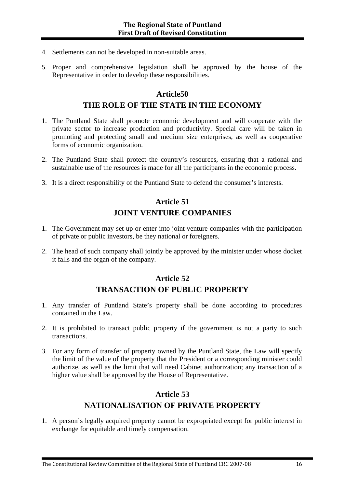- 4. Settlements can not be developed in non-suitable areas.
- 5. Proper and comprehensive legislation shall be approved by the house of the Representative in order to develop these responsibilities.

#### **Article50**

#### **THE ROLE OF THE STATE IN THE ECONOMY**

- 1. The Puntland State shall promote economic development and will cooperate with the private sector to increase production and productivity. Special care will be taken in promoting and protecting small and medium size enterprises, as well as cooperative forms of economic organization.
- 2. The Puntland State shall protect the country's resources, ensuring that a rational and sustainable use of the resources is made for all the participants in the economic process.
- 3. It is a direct responsibility of the Puntland State to defend the consumer's interests.

### **Article 51 JOINT VENTURE COMPANIES**

- 1. The Government may set up or enter into joint venture companies with the participation of private or public investors, be they national or foreigners.
- 2. The head of such company shall jointly be approved by the minister under whose docket it falls and the organ of the company.

#### **Article 52 TRANSACTION OF PUBLIC PROPERTY**

- 1. Any transfer of Puntland State's property shall be done according to procedures contained in the Law.
- 2. It is prohibited to transact public property if the government is not a party to such transactions.
- 3. For any form of transfer of property owned by the Puntland State, the Law will specify the limit of the value of the property that the President or a corresponding minister could authorize, as well as the limit that will need Cabinet authorization; any transaction of a higher value shall be approved by the House of Representative.

### **Article 53 NATIONALISATION OF PRIVATE PROPERTY**

1. A person's legally acquired property cannot be expropriated except for public interest in exchange for equitable and timely compensation.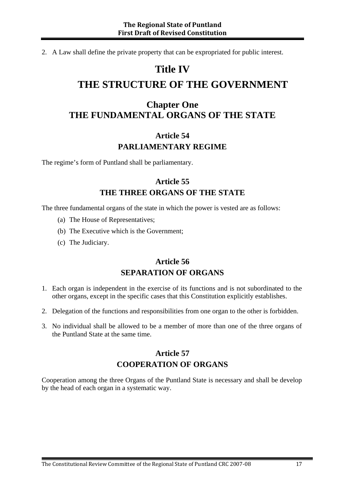2. A Law shall define the private property that can be expropriated for public interest.

# **Title IV**

# **THE STRUCTURE OF THE GOVERNMENT**

### **Chapter One THE FUNDAMENTAL ORGANS OF THE STATE**

### **Article 54 PARLIAMENTARY REGIME**

The regime's form of Puntland shall be parliamentary.

### **Article 55 THE THREE ORGANS OF THE STATE**

The three fundamental organs of the state in which the power is vested are as follows:

- (a) The House of Representatives;
- (b) The Executive which is the Government;
- (c) The Judiciary.

### **Article 56 SEPARATION OF ORGANS**

- 1. Each organ is independent in the exercise of its functions and is not subordinated to the other organs, except in the specific cases that this Constitution explicitly establishes.
- 2. Delegation of the functions and responsibilities from one organ to the other is forbidden.
- 3. No individual shall be allowed to be a member of more than one of the three organs of the Puntland State at the same time.

### **Article 57 COOPERATION OF ORGANS**

Cooperation among the three Organs of the Puntland State is necessary and shall be develop by the head of each organ in a systematic way.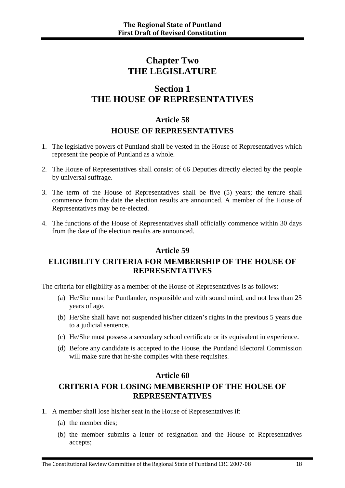### **Chapter Two THE LEGISLATURE**

### **Section 1 THE HOUSE OF REPRESENTATIVES**

### **Article 58 HOUSE OF REPRESENTATIVES**

- 1. The legislative powers of Puntland shall be vested in the House of Representatives which represent the people of Puntland as a whole.
- 2. The House of Representatives shall consist of 66 Deputies directly elected by the people by universal suffrage.
- 3. The term of the House of Representatives shall be five (5) years; the tenure shall commence from the date the election results are announced. A member of the House of Representatives may be re-elected.
- 4. The functions of the House of Representatives shall officially commence within 30 days from the date of the election results are announced.

#### **Article 59**

### **ELIGIBILITY CRITERIA FOR MEMBERSHIP OF THE HOUSE OF REPRESENTATIVES**

The criteria for eligibility as a member of the House of Representatives is as follows:

- (a) He/She must be Puntlander, responsible and with sound mind, and not less than 25 years of age.
- (b) He/She shall have not suspended his/her citizen's rights in the previous 5 years due to a judicial sentence.
- (c) He/She must possess a secondary school certificate or its equivalent in experience.
- (d) Before any candidate is accepted to the House, the Puntland Electoral Commission will make sure that he/she complies with these requisites.

#### **Article 60**

### **CRITERIA FOR LOSING MEMBERSHIP OF THE HOUSE OF REPRESENTATIVES**

- 1. A member shall lose his/her seat in the House of Representatives if:
	- (a) the member dies;
	- (b) the member submits a letter of resignation and the House of Representatives accepts;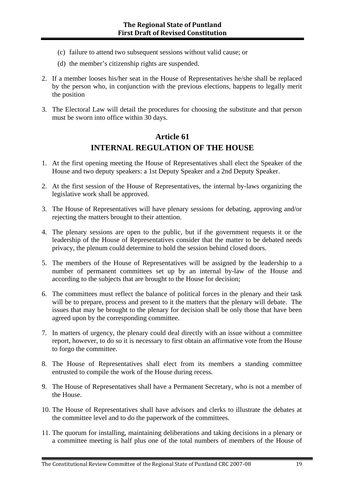- (c) failure to attend two subsequent sessions without valid cause; or
- (d) the member's citizenship rights are suspended.
- 2. If a member looses his/her seat in the House of Representatives he/she shall be replaced by the person who, in conjunction with the previous elections, happens to legally merit the position
- 3. The Electoral Law will detail the procedures for choosing the substitute and that person must be sworn into office within 30 days.

#### **Article 61 INTERNAL REGULATION OF THE HOUSE**

- 1. At the first opening meeting the House of Representatives shall elect the Speaker of the House and two deputy speakers: a 1st Deputy Speaker and a 2nd Deputy Speaker.
- 2. At the first session of the House of Representatives, the internal by-laws organizing the legislative work shall be approved.
- 3. The House of Representatives will have plenary sessions for debating, approving and/or rejecting the matters brought to their attention.
- 4. The plenary sessions are open to the public, but if the government requests it or the leadership of the House of Representatives consider that the matter to be debated needs privacy, the plenum could determine to hold the session behind closed doors.
- 5. The members of the House of Representatives will be assigned by the leadership to a number of permanent committees set up by an internal by-law of the House and according to the subjects that are brought to the House for decision;
- 6. The committees must reflect the balance of political forces in the plenary and their task will be to prepare, process and present to it the matters that the plenary will debate. The issues that may be brought to the plenary for decision shall be only those that have been agreed upon by the corresponding committee.
- 7. In matters of urgency, the plenary could deal directly with an issue without a committee report, however, to do so it is necessary to first obtain an affirmative vote from the House to forgo the committee.
- 8. The House of Representatives shall elect from its members a standing committee entrusted to compile the work of the House during recess.
- 9. The House of Representatives shall have a Permanent Secretary, who is not a member of the House.
- 10. The House of Representatives shall have advisors and clerks to illustrate the debates at the committee level and to do the paperwork of the committees.
- 11. The quorum for installing, maintaining deliberations and taking decisions in a plenary or a committee meeting is half plus one of the total numbers of members of the House of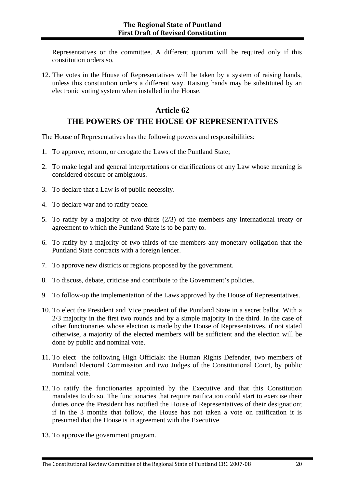Representatives or the committee. A different quorum will be required only if this constitution orders so.

12. The votes in the House of Representatives will be taken by a system of raising hands, unless this constitution orders a different way. Raising hands may be substituted by an electronic voting system when installed in the House.

### **Article 62 THE POWERS OF THE HOUSE OF REPRESENTATIVES**

The House of Representatives has the following powers and responsibilities:

- 1. To approve, reform, or derogate the Laws of the Puntland State;
- 2. To make legal and general interpretations or clarifications of any Law whose meaning is considered obscure or ambiguous.
- 3. To declare that a Law is of public necessity.
- 4. To declare war and to ratify peace.
- 5. To ratify by a majority of two-thirds (2/3) of the members any international treaty or agreement to which the Puntland State is to be party to.
- 6. To ratify by a majority of two-thirds of the members any monetary obligation that the Puntland State contracts with a foreign lender.
- 7. To approve new districts or regions proposed by the government.
- 8. To discuss, debate, criticise and contribute to the Government's policies.
- 9. To follow-up the implementation of the Laws approved by the House of Representatives.
- 10. To elect the President and Vice president of the Puntland State in a secret ballot. With a 2/3 majority in the first two rounds and by a simple majority in the third. In the case of other functionaries whose election is made by the House of Representatives, if not stated otherwise, a majority of the elected members will be sufficient and the election will be done by public and nominal vote.
- 11. To elect the following High Officials: the Human Rights Defender, two members of Puntland Electoral Commission and two Judges of the Constitutional Court, by public nominal vote.
- 12. To ratify the functionaries appointed by the Executive and that this Constitution mandates to do so. The functionaries that require ratification could start to exercise their duties once the President has notified the House of Representatives of their designation; if in the 3 months that follow, the House has not taken a vote on ratification it is presumed that the House is in agreement with the Executive.
- 13. To approve the government program.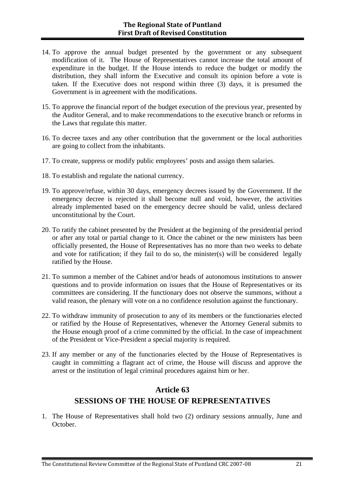- 14. To approve the annual budget presented by the government or any subsequent modification of it. The House of Representatives cannot increase the total amount of expenditure in the budget. If the House intends to reduce the budget or modify the distribution, they shall inform the Executive and consult its opinion before a vote is taken. If the Executive does not respond within three (3) days, it is presumed the Government is in agreement with the modifications.
- 15. To approve the financial report of the budget execution of the previous year, presented by the Auditor General, and to make recommendations to the executive branch or reforms in the Laws that regulate this matter.
- 16. To decree taxes and any other contribution that the government or the local authorities are going to collect from the inhabitants.
- 17. To create, suppress or modify public employees' posts and assign them salaries.
- 18. To establish and regulate the national currency.
- 19. To approve/refuse, within 30 days, emergency decrees issued by the Government. If the emergency decree is rejected it shall become null and void, however, the activities already implemented based on the emergency decree should be valid, unless declared unconstitutional by the Court.
- 20. To ratify the cabinet presented by the President at the beginning of the presidential period or after any total or partial change to it. Once the cabinet or the new ministers has been officially presented, the House of Representatives has no more than two weeks to debate and vote for ratification; if they fail to do so, the minister(s) will be considered legally ratified by the House.
- 21. To summon a member of the Cabinet and/or heads of autonomous institutions to answer questions and to provide information on issues that the House of Representatives or its committees are considering. If the functionary does not observe the summons, without a valid reason, the plenary will vote on a no confidence resolution against the functionary.
- 22. To withdraw immunity of prosecution to any of its members or the functionaries elected or ratified by the House of Representatives, whenever the Attorney General submits to the House enough proof of a crime committed by the official. In the case of impeachment of the President or Vice-President a special majority is required.
- 23. If any member or any of the functionaries elected by the House of Representatives is caught in committing a flagrant act of crime, the House will discuss and approve the arrest or the institution of legal criminal procedures against him or her.

### **Article 63 SESSIONS OF THE HOUSE OF REPRESENTATIVES**

1. The House of Representatives shall hold two (2) ordinary sessions annually, June and October.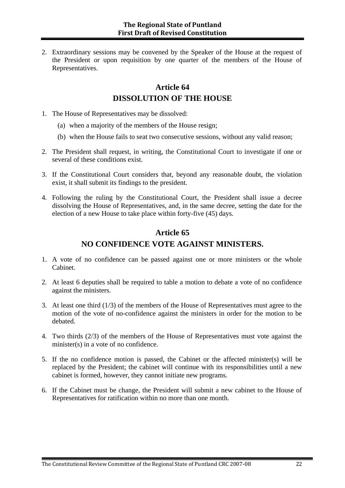2. Extraordinary sessions may be convened by the Speaker of the House at the request of the President or upon requisition by one quarter of the members of the House of Representatives.

### **Article 64 DISSOLUTION OF THE HOUSE**

- 1. The House of Representatives may be dissolved:
	- (a) when a majority of the members of the House resign;
	- (b) when the House fails to seat two consecutive sessions, without any valid reason;
- 2. The President shall request, in writing, the Constitutional Court to investigate if one or several of these conditions exist.
- 3. If the Constitutional Court considers that, beyond any reasonable doubt, the violation exist, it shall submit its findings to the president.
- 4. Following the ruling by the Constitutional Court, the President shall issue a decree dissolving the House of Representatives, and, in the same decree, setting the date for the election of a new House to take place within forty-five (45) days.

### **Article 65 NO CONFIDENCE VOTE AGAINST MINISTERS.**

- 1. A vote of no confidence can be passed against one or more ministers or the whole Cabinet.
- 2. At least 6 deputies shall be required to table a motion to debate a vote of no confidence against the ministers.
- 3. At least one third (1/3) of the members of the House of Representatives must agree to the motion of the vote of no-confidence against the ministers in order for the motion to be debated.
- 4. Two thirds (2/3) of the members of the House of Representatives must vote against the minister(s) in a vote of no confidence.
- 5. If the no confidence motion is passed, the Cabinet or the affected minister(s) will be replaced by the President; the cabinet will continue with its responsibilities until a new cabinet is formed, however, they cannot initiate new programs.
- 6. If the Cabinet must be change, the President will submit a new cabinet to the House of Representatives for ratification within no more than one month.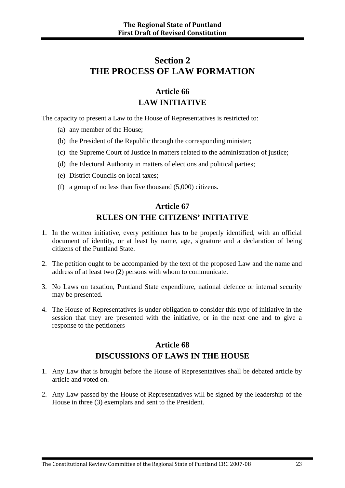### **Section 2 THE PROCESS OF LAW FORMATION**

### **Article 66 LAW INITIATIVE**

The capacity to present a Law to the House of Representatives is restricted to:

- (a) any member of the House;
- (b) the President of the Republic through the corresponding minister;
- (c) the Supreme Court of Justice in matters related to the administration of justice;
- (d) the Electoral Authority in matters of elections and political parties;
- (e) District Councils on local taxes;
- (f) a group of no less than five thousand (5,000) citizens.

### **Article 67 RULES ON THE CITIZENS' INITIATIVE**

- 1. In the written initiative, every petitioner has to be properly identified, with an official document of identity, or at least by name, age, signature and a declaration of being citizens of the Puntland State.
- 2. The petition ought to be accompanied by the text of the proposed Law and the name and address of at least two (2) persons with whom to communicate.
- 3. No Laws on taxation, Puntland State expenditure, national defence or internal security may be presented.
- 4. The House of Representatives is under obligation to consider this type of initiative in the session that they are presented with the initiative, or in the next one and to give a response to the petitioners

#### **Article 68 DISCUSSIONS OF LAWS IN THE HOUSE**

- 1. Any Law that is brought before the House of Representatives shall be debated article by article and voted on.
- 2. Any Law passed by the House of Representatives will be signed by the leadership of the House in three (3) exemplars and sent to the President.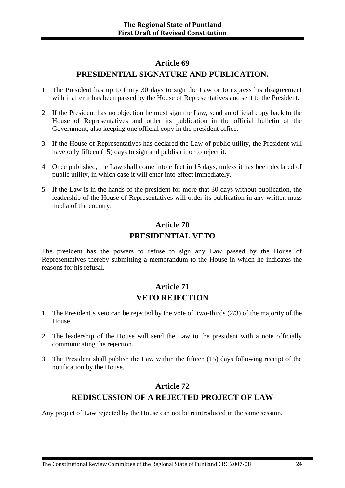#### **Article 69**

#### **PRESIDENTIAL SIGNATURE AND PUBLICATION.**

- 1. The President has up to thirty 30 days to sign the Law or to express his disagreement with it after it has been passed by the House of Representatives and sent to the President.
- 2. If the President has no objection he must sign the Law, send an official copy back to the House of Representatives and order its publication in the official bulletin of the Government, also keeping one official copy in the president office.
- 3. If the House of Representatives has declared the Law of public utility, the President will have only fifteen (15) days to sign and publish it or to reject it.
- 4. Once published, the Law shall come into effect in 15 days, unless it has been declared of public utility, in which case it will enter into effect immediately.
- 5. If the Law is in the hands of the president for more that 30 days without publication, the leadership of the House of Representatives will order its publication in any written mass media of the country.

### **Article 70 PRESIDENTIAL VETO**

The president has the powers to refuse to sign any Law passed by the House of Representatives thereby submitting a memorandum to the House in which he indicates the reasons for his refusal.

### **Article 71 VETO REJECTION**

- 1. The President's veto can be rejected by the vote of two-thirds (2/3) of the majority of the House.
- 2. The leadership of the House will send the Law to the president with a note officially communicating the rejection.
- 3. The President shall publish the Law within the fifteen (15) days following receipt of the notification by the House.

### **Article 72 REDISCUSSION OF A REJECTED PROJECT OF LAW**

Any project of Law rejected by the House can not be reintroduced in the same session.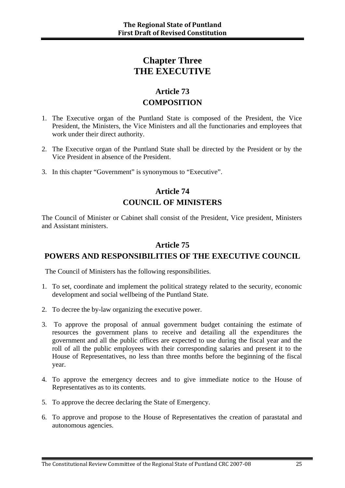### **Chapter Three THE EXECUTIVE**

### **Article 73 COMPOSITION**

- 1. The Executive organ of the Puntland State is composed of the President, the Vice President, the Ministers, the Vice Ministers and all the functionaries and employees that work under their direct authority.
- 2. The Executive organ of the Puntland State shall be directed by the President or by the Vice President in absence of the President.
- 3. In this chapter "Government" is synonymous to "Executive".

### **Article 74 COUNCIL OF MINISTERS**

The Council of Minister or Cabinet shall consist of the President, Vice president, Ministers and Assistant ministers.

#### **Article 75**

#### **POWERS AND RESPONSIBILITIES OF THE EXECUTIVE COUNCIL**

The Council of Ministers has the following responsibilities.

- 1. To set, coordinate and implement the political strategy related to the security, economic development and social wellbeing of the Puntland State.
- 2. To decree the by-law organizing the executive power.
- 3. To approve the proposal of annual government budget containing the estimate of resources the government plans to receive and detailing all the expenditures the government and all the public offices are expected to use during the fiscal year and the roll of all the public employees with their corresponding salaries and present it to the House of Representatives, no less than three months before the beginning of the fiscal year.
- 4. To approve the emergency decrees and to give immediate notice to the House of Representatives as to its contents.
- 5. To approve the decree declaring the State of Emergency.
- 6. To approve and propose to the House of Representatives the creation of parastatal and autonomous agencies.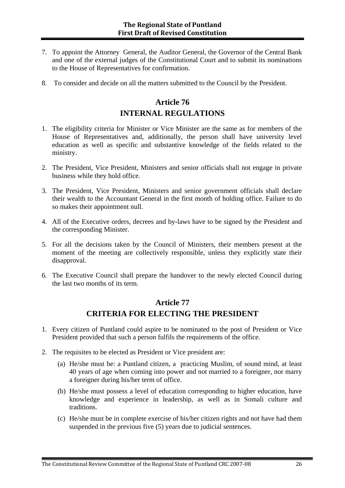- 7. To appoint the Attorney General, the Auditor General, the Governor of the Central Bank and one of the external judges of the Constitutional Court and to submit its nominations to the House of Representatives for confirmation.
- 8. To consider and decide on all the matters submitted to the Council by the President.

### **Article 76 INTERNAL REGULATIONS**

- 1. The eligibility criteria for Minister or Vice Minister are the same as for members of the House of Representatives and, additionally, the person shall have university level education as well as specific and substantive knowledge of the fields related to the ministry.
- 2. The President, Vice President, Ministers and senior officials shall not engage in private business while they hold office.
- 3. The President, Vice President, Ministers and senior government officials shall declare their wealth to the Accountant General in the first month of holding office. Failure to do so makes their appointment null.
- 4. All of the Executive orders, decrees and by-laws have to be signed by the President and the corresponding Minister.
- 5. For all the decisions taken by the Council of Ministers, their members present at the moment of the meeting are collectively responsible, unless they explicitly state their disapproval.
- 6. The Executive Council shall prepare the handover to the newly elected Council during the last two months of its term.

### **Article 77 CRITERIA FOR ELECTING THE PRESIDENT**

- 1. Every citizen of Puntland could aspire to be nominated to the post of President or Vice President provided that such a person fulfils the requirements of the office.
- 2. The requisites to be elected as President or Vice president are:
	- (a) He/she must be: a Puntland citizen, a practicing Muslim, of sound mind, at least 40 years of age when coming into power and not married to a foreigner, nor marry a foreigner during his/her term of office.
	- (b) He/she must possess a level of education corresponding to higher education, have knowledge and experience in leadership, as well as in Somali culture and traditions.
	- (c) He/she must be in complete exercise of his/her citizen rights and not have had them suspended in the previous five (5) years due to judicial sentences.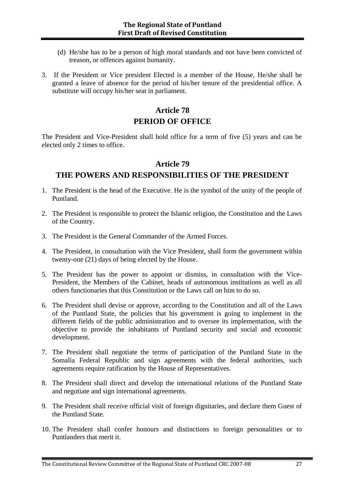- (d) He/she has to be a person of high moral standards and not have been convicted of treason, or offences against humanity.
- 3. If the President or Vice president Elected is a member of the House, He/she shall be granted a leave of absence for the period of his/her tenure of the presidential office. A substitute will occupy his/her seat in parliament.

### **Article 78 PERIOD OF OFFICE**

The President and Vice-President shall hold office for a term of five (5) years and can be elected only 2 times to office.

#### **Article 79**

#### **THE POWERS AND RESPONSIBILITIES OF THE PRESIDENT**

- 1. The President is the head of the Executive. He is the symbol of the unity of the people of Puntland.
- 2. The President is responsible to protect the Islamic religion, the Constitution and the Laws of the Country.
- 3. The President is the General Commander of the Armed Forces.
- 4. The President, in consultation with the Vice President, shall form the government within twenty-one (21) days of being elected by the House.
- 5. The President has the power to appoint or dismiss, in consultation with the Vice-President, the Members of the Cabinet, heads of autonomous institutions as well as all others functionaries that this Constitution or the Laws call on him to do so.
- 6. The President shall devise or approve, according to the Constitution and all of the Laws of the Puntland State, the policies that his government is going to implement in the different fields of the public administration and to oversee its implementation, with the objective to provide the inhabitants of Puntland security and social and economic development.
- 7. The President shall negotiate the terms of participation of the Puntland State in the Somalia Federal Republic and sign agreements with the federal authorities, such agreements require ratification by the House of Representatives.
- 8. The President shall direct and develop the international relations of the Puntland State and negotiate and sign international agreements.
- 9. The President shall receive official visit of foreign dignitaries, and declare them Guest of the Puntland State.
- 10. The President shall confer honours and distinctions to foreign personalities or to Puntlanders that merit it.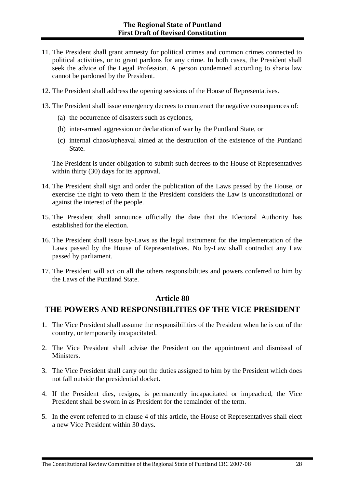- 11. The President shall grant amnesty for political crimes and common crimes connected to political activities, or to grant pardons for any crime. In both cases, the President shall seek the advice of the Legal Profession. A person condemned according to sharia law cannot be pardoned by the President.
- 12. The President shall address the opening sessions of the House of Representatives.
- 13. The President shall issue emergency decrees to counteract the negative consequences of:
	- (a) the occurrence of disasters such as cyclones,
	- (b) inter-armed aggression or declaration of war by the Puntland State, or
	- (c) internal chaos/upheaval aimed at the destruction of the existence of the Puntland State.

The President is under obligation to submit such decrees to the House of Representatives within thirty (30) days for its approval.

- 14. The President shall sign and order the publication of the Laws passed by the House, or exercise the right to veto them if the President considers the Law is unconstitutional or against the interest of the people.
- 15. The President shall announce officially the date that the Electoral Authority has established for the election.
- 16. The President shall issue by-Laws as the legal instrument for the implementation of the Laws passed by the House of Representatives. No by-Law shall contradict any Law passed by parliament.
- 17. The President will act on all the others responsibilities and powers conferred to him by the Laws of the Puntland State.

#### **Article 80**

#### **THE POWERS AND RESPONSIBILITIES OF THE VICE PRESIDENT**

- 1. The Vice President shall assume the responsibilities of the President when he is out of the country, or temporarily incapacitated.
- 2. The Vice President shall advise the President on the appointment and dismissal of Ministers.
- 3. The Vice President shall carry out the duties assigned to him by the President which does not fall outside the presidential docket.
- 4. If the President dies, resigns, is permanently incapacitated or impeached, the Vice President shall be sworn in as President for the remainder of the term.
- 5. In the event referred to in clause 4 of this article, the House of Representatives shall elect a new Vice President within 30 days.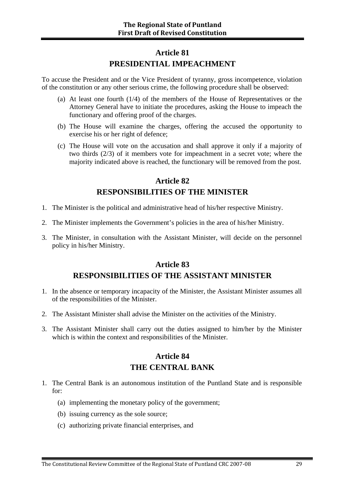#### **Article 81 PRESIDENTIAL IMPEACHMENT**

To accuse the President and or the Vice President of tyranny, gross incompetence, violation of the constitution or any other serious crime, the following procedure shall be observed:

- (a) At least one fourth (1/4) of the members of the House of Representatives or the Attorney General have to initiate the procedures, asking the House to impeach the functionary and offering proof of the charges.
- (b) The House will examine the charges, offering the accused the opportunity to exercise his or her right of defence;
- (c) The House will vote on the accusation and shall approve it only if a majority of two thirds (2/3) of it members vote for impeachment in a secret vote; where the majority indicated above is reached, the functionary will be removed from the post.

#### **Article 82 RESPONSIBILITIES OF THE MINISTER**

- 1. The Minister is the political and administrative head of his/her respective Ministry.
- 2. The Minister implements the Government's policies in the area of his/her Ministry.
- 3. The Minister, in consultation with the Assistant Minister, will decide on the personnel policy in his/her Ministry.

### **Article 83 RESPONSIBILITIES OF THE ASSISTANT MINISTER**

- 1. In the absence or temporary incapacity of the Minister, the Assistant Minister assumes all of the responsibilities of the Minister.
- 2. The Assistant Minister shall advise the Minister on the activities of the Ministry.
- 3. The Assistant Minister shall carry out the duties assigned to him/her by the Minister which is within the context and responsibilities of the Minister.

### **Article 84 THE CENTRAL BANK**

- 1. The Central Bank is an autonomous institution of the Puntland State and is responsible for:
	- (a) implementing the monetary policy of the government;
	- (b) issuing currency as the sole source;
	- (c) authorizing private financial enterprises, and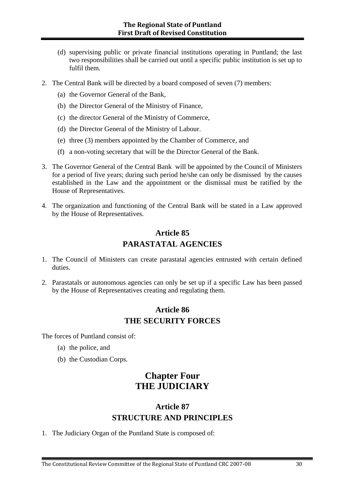- (d) supervising public or private financial institutions operating in Puntland; the last two responsibilities shall be carried out until a specific public institution is set up to fulfil them.
- 2. The Central Bank will be directed by a board composed of seven (7) members:
	- (a) the Governor General of the Bank,
	- (b) the Director General of the Ministry of Finance,
	- (c) the director General of the Ministry of Commerce,
	- (d) the Director General of the Ministry of Labour.
	- (e) three (3) members appointed by the Chamber of Commerce, and
	- (f) a non-voting secretary that will be the Director General of the Bank.
- 3. The Governor General of the Central Bank will be appointed by the Council of Ministers for a period of five years; during such period he/she can only be dismissed by the causes established in the Law and the appointment or the dismissal must be ratified by the House of Representatives.
- 4. The organization and functioning of the Central Bank will be stated in a Law approved by the House of Representatives.

### **Article 85 PARASTATAL AGENCIES**

- 1. The Council of Ministers can create parastatal agencies entrusted with certain defined duties.
- 2. Parastatals or autonomous agencies can only be set up if a specific Law has been passed by the House of Representatives creating and regulating them.

#### **Article 86 THE SECURITY FORCES**

The forces of Puntland consist of:

- (a) the police, and
- (b) the Custodian Corps.

### **Chapter Four THE JUDICIARY**

#### **Article 87 STRUCTURE AND PRINCIPLES**

1. The Judiciary Organ of the Puntland State is composed of: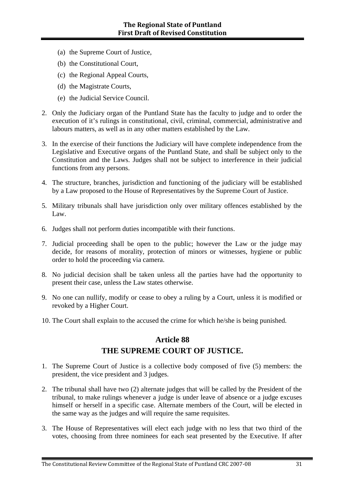- (a) the Supreme Court of Justice,
- (b) the Constitutional Court,
- (c) the Regional Appeal Courts,
- (d) the Magistrate Courts,
- (e) the Judicial Service Council.
- 2. Only the Judiciary organ of the Puntland State has the faculty to judge and to order the execution of it's rulings in constitutional, civil, criminal, commercial, administrative and labours matters, as well as in any other matters established by the Law.
- 3. In the exercise of their functions the Judiciary will have complete independence from the Legislative and Executive organs of the Puntland State, and shall be subject only to the Constitution and the Laws. Judges shall not be subject to interference in their judicial functions from any persons.
- 4. The structure, branches, jurisdiction and functioning of the judiciary will be established by a Law proposed to the House of Representatives by the Supreme Court of Justice.
- 5. Military tribunals shall have jurisdiction only over military offences established by the Law.
- 6. Judges shall not perform duties incompatible with their functions.
- 7. Judicial proceeding shall be open to the public; however the Law or the judge may decide, for reasons of morality, protection of minors or witnesses, hygiene or public order to hold the proceeding via camera.
- 8. No judicial decision shall be taken unless all the parties have had the opportunity to present their case, unless the Law states otherwise.
- 9. No one can nullify, modify or cease to obey a ruling by a Court, unless it is modified or revoked by a Higher Court.
- 10. The Court shall explain to the accused the crime for which he/she is being punished.

#### **Article 88**

#### **THE SUPREME COURT OF JUSTICE.**

- 1. The Supreme Court of Justice is a collective body composed of five (5) members: the president, the vice president and 3 judges.
- 2. The tribunal shall have two (2) alternate judges that will be called by the President of the tribunal, to make rulings whenever a judge is under leave of absence or a judge excuses himself or herself in a specific case. Alternate members of the Court, will be elected in the same way as the judges and will require the same requisites.
- 3. The House of Representatives will elect each judge with no less that two third of the votes, choosing from three nominees for each seat presented by the Executive. If after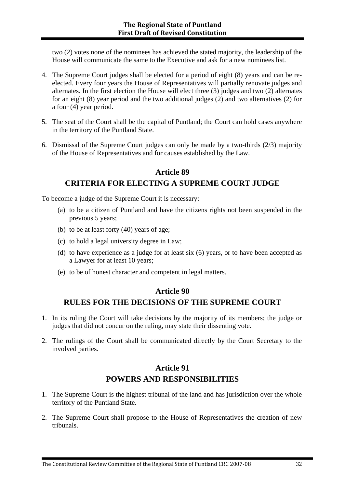two (2) votes none of the nominees has achieved the stated majority, the leadership of the House will communicate the same to the Executive and ask for a new nominees list.

- 4. The Supreme Court judges shall be elected for a period of eight (8) years and can be reelected. Every four years the House of Representatives will partially renovate judges and alternates. In the first election the House will elect three (3) judges and two (2) alternates for an eight (8) year period and the two additional judges (2) and two alternatives (2) for a four (4) year period.
- 5. The seat of the Court shall be the capital of Puntland; the Court can hold cases anywhere in the territory of the Puntland State.
- 6. Dismissal of the Supreme Court judges can only be made by a two-thirds (2/3) majority of the House of Representatives and for causes established by the Law.

#### **Article 89**

#### **CRITERIA FOR ELECTING A SUPREME COURT JUDGE**

To become a judge of the Supreme Court it is necessary:

- (a) to be a citizen of Puntland and have the citizens rights not been suspended in the previous 5 years;
- (b) to be at least forty (40) years of age;
- (c) to hold a legal university degree in Law;
- (d) to have experience as a judge for at least six (6) years, or to have been accepted as a Lawyer for at least 10 years;
- (e) to be of honest character and competent in legal matters.

#### **Article 90**

#### **RULES FOR THE DECISIONS OF THE SUPREME COURT**

- 1. In its ruling the Court will take decisions by the majority of its members; the judge or judges that did not concur on the ruling, may state their dissenting vote.
- 2. The rulings of the Court shall be communicated directly by the Court Secretary to the involved parties.

#### **Article 91 POWERS AND RESPONSIBILITIES**

- 1. The Supreme Court is the highest tribunal of the land and has jurisdiction over the whole territory of the Puntland State.
- 2. The Supreme Court shall propose to the House of Representatives the creation of new tribunals.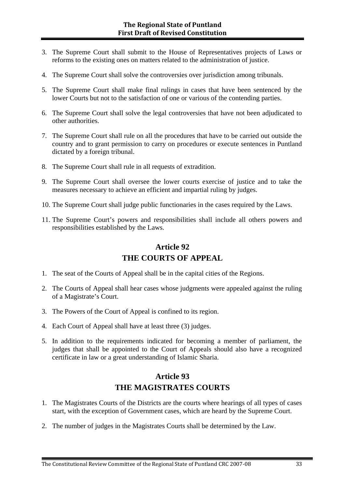- 3. The Supreme Court shall submit to the House of Representatives projects of Laws or reforms to the existing ones on matters related to the administration of justice.
- 4. The Supreme Court shall solve the controversies over jurisdiction among tribunals.
- 5. The Supreme Court shall make final rulings in cases that have been sentenced by the lower Courts but not to the satisfaction of one or various of the contending parties.
- 6. The Supreme Court shall solve the legal controversies that have not been adjudicated to other authorities.
- 7. The Supreme Court shall rule on all the procedures that have to be carried out outside the country and to grant permission to carry on procedures or execute sentences in Puntland dictated by a foreign tribunal.
- 8. The Supreme Court shall rule in all requests of extradition.
- 9. The Supreme Court shall oversee the lower courts exercise of justice and to take the measures necessary to achieve an efficient and impartial ruling by judges.
- 10. The Supreme Court shall judge public functionaries in the cases required by the Laws.
- 11. The Supreme Court's powers and responsibilities shall include all others powers and responsibilities established by the Laws.

### **Article 92 THE COURTS OF APPEAL**

- 1. The seat of the Courts of Appeal shall be in the capital cities of the Regions.
- 2. The Courts of Appeal shall hear cases whose judgments were appealed against the ruling of a Magistrate's Court.
- 3. The Powers of the Court of Appeal is confined to its region.
- 4. Each Court of Appeal shall have at least three (3) judges.
- 5. In addition to the requirements indicated for becoming a member of parliament, the judges that shall be appointed to the Court of Appeals should also have a recognized certificate in law or a great understanding of Islamic Sharia.

### **Article 93 THE MAGISTRATES COURTS**

- 1. The Magistrates Courts of the Districts are the courts where hearings of all types of cases start, with the exception of Government cases, which are heard by the Supreme Court.
- 2. The number of judges in the Magistrates Courts shall be determined by the Law.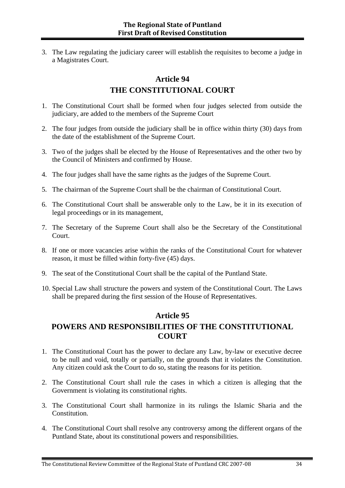3. The Law regulating the judiciary career will establish the requisites to become a judge in a Magistrates Court.

### **Article 94 THE CONSTITUTIONAL COURT**

- 1. The Constitutional Court shall be formed when four judges selected from outside the judiciary, are added to the members of the Supreme Court
- 2. The four judges from outside the judiciary shall be in office within thirty (30) days from the date of the establishment of the Supreme Court.
- 3. Two of the judges shall be elected by the House of Representatives and the other two by the Council of Ministers and confirmed by House.
- 4. The four judges shall have the same rights as the judges of the Supreme Court.
- 5. The chairman of the Supreme Court shall be the chairman of Constitutional Court.
- 6. The Constitutional Court shall be answerable only to the Law, be it in its execution of legal proceedings or in its management,
- 7. The Secretary of the Supreme Court shall also be the Secretary of the Constitutional Court.
- 8. If one or more vacancies arise within the ranks of the Constitutional Court for whatever reason, it must be filled within forty-five (45) days.
- 9. The seat of the Constitutional Court shall be the capital of the Puntland State.
- 10. Special Law shall structure the powers and system of the Constitutional Court. The Laws shall be prepared during the first session of the House of Representatives.

#### **Article 95**

#### **POWERS AND RESPONSIBILITIES OF THE CONSTITUTIONAL COURT**

- 1. The Constitutional Court has the power to declare any Law, by-law or executive decree to be null and void, totally or partially, on the grounds that it violates the Constitution. Any citizen could ask the Court to do so, stating the reasons for its petition.
- 2. The Constitutional Court shall rule the cases in which a citizen is alleging that the Government is violating its constitutional rights.
- 3. The Constitutional Court shall harmonize in its rulings the Islamic Sharia and the Constitution.
- 4. The Constitutional Court shall resolve any controversy among the different organs of the Puntland State, about its constitutional powers and responsibilities.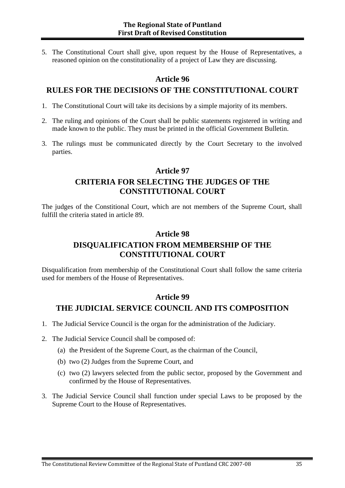5. The Constitutional Court shall give, upon request by the House of Representatives, a reasoned opinion on the constitutionality of a project of Law they are discussing.

#### **Article 96**

#### **RULES FOR THE DECISIONS OF THE CONSTITUTIONAL COURT**

- 1. The Constitutional Court will take its decisions by a simple majority of its members.
- 2. The ruling and opinions of the Court shall be public statements registered in writing and made known to the public. They must be printed in the official Government Bulletin.
- 3. The rulings must be communicated directly by the Court Secretary to the involved parties.

#### **Article 97 CRITERIA FOR SELECTING THE JUDGES OF THE CONSTITUTIONAL COURT**

The judges of the Constitional Court, which are not members of the Supreme Court, shall fulfill the criteria stated in article 89.

### **Article 98 DISQUALIFICATION FROM MEMBERSHIP OF THE CONSTITUTIONAL COURT**

Disqualification from membership of the Constitutional Court shall follow the same criteria used for members of the House of Representatives.

#### **Article 99**

#### **THE JUDICIAL SERVICE COUNCIL AND ITS COMPOSITION**

- 1. The Judicial Service Council is the organ for the administration of the Judiciary.
- 2. The Judicial Service Council shall be composed of:
	- (a) the President of the Supreme Court, as the chairman of the Council,
	- (b) two (2) Judges from the Supreme Court, and
	- (c) two (2) lawyers selected from the public sector, proposed by the Government and confirmed by the House of Representatives.
- 3. The Judicial Service Council shall function under special Laws to be proposed by the Supreme Court to the House of Representatives.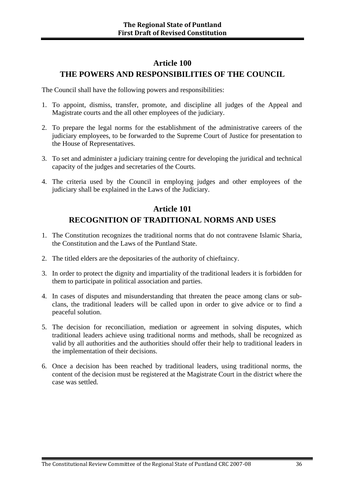#### **Article 100 THE POWERS AND RESPONSIBILITIES OF THE COUNCIL**

The Council shall have the following powers and responsibilities:

- 1. To appoint, dismiss, transfer, promote, and discipline all judges of the Appeal and Magistrate courts and the all other employees of the judiciary.
- 2. To prepare the legal norms for the establishment of the administrative careers of the judiciary employees, to be forwarded to the Supreme Court of Justice for presentation to the House of Representatives.
- 3. To set and administer a judiciary training centre for developing the juridical and technical capacity of the judges and secretaries of the Courts.
- 4. The criteria used by the Council in employing judges and other employees of the judiciary shall be explained in the Laws of the Judiciary.

### **Article 101 RECOGNITION OF TRADITIONAL NORMS AND USES**

- 1. The Constitution recognizes the traditional norms that do not contravene Islamic Sharia, the Constitution and the Laws of the Puntland State.
- 2. The titled elders are the depositaries of the authority of chieftaincy.
- 3. In order to protect the dignity and impartiality of the traditional leaders it is forbidden for them to participate in political association and parties.
- 4. In cases of disputes and misunderstanding that threaten the peace among clans or subclans, the traditional leaders will be called upon in order to give advice or to find a peaceful solution.
- 5. The decision for reconciliation, mediation or agreement in solving disputes, which traditional leaders achieve using traditional norms and methods, shall be recognized as valid by all authorities and the authorities should offer their help to traditional leaders in the implementation of their decisions.
- 6. Once a decision has been reached by traditional leaders, using traditional norms, the content of the decision must be registered at the Magistrate Court in the district where the case was settled.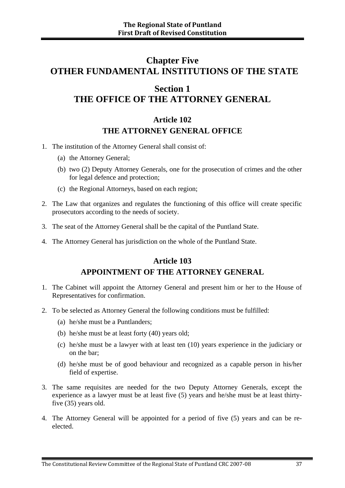# **Chapter Five OTHER FUNDAMENTAL INSTITUTIONS OF THE STATE**

# **Section 1 THE OFFICE OF THE ATTORNEY GENERAL**

#### **Article 102 THE ATTORNEY GENERAL OFFICE**

- 1. The institution of the Attorney General shall consist of:
	- (a) the Attorney General;
	- (b) two (2) Deputy Attorney Generals, one for the prosecution of crimes and the other for legal defence and protection;
	- (c) the Regional Attorneys, based on each region;
- 2. The Law that organizes and regulates the functioning of this office will create specific prosecutors according to the needs of society.
- 3. The seat of the Attorney General shall be the capital of the Puntland State.
- 4. The Attorney General has jurisdiction on the whole of the Puntland State.

#### **Article 103 APPOINTMENT OF THE ATTORNEY GENERAL**

- 1. The Cabinet will appoint the Attorney General and present him or her to the House of Representatives for confirmation.
- 2. To be selected as Attorney General the following conditions must be fulfilled:
	- (a) he/she must be a Puntlanders;
	- (b) he/she must be at least forty (40) years old;
	- (c) he/she must be a lawyer with at least ten (10) years experience in the judiciary or on the bar;
	- (d) he/she must be of good behaviour and recognized as a capable person in his/her field of expertise.
- 3. The same requisites are needed for the two Deputy Attorney Generals, except the experience as a lawyer must be at least five (5) years and he/she must be at least thirtyfive (35) years old.
- 4. The Attorney General will be appointed for a period of five (5) years and can be reelected.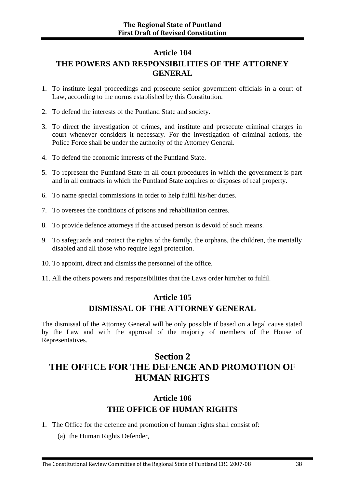#### **Article 104**

### **THE POWERS AND RESPONSIBILITIES OF THE ATTORNEY GENERAL**

- 1. To institute legal proceedings and prosecute senior government officials in a court of Law, according to the norms established by this Constitution.
- 2. To defend the interests of the Puntland State and society.
- 3. To direct the investigation of crimes, and institute and prosecute criminal charges in court whenever considers it necessary. For the investigation of criminal actions, the Police Force shall be under the authority of the Attorney General.
- 4. To defend the economic interests of the Puntland State.
- 5. To represent the Puntland State in all court procedures in which the government is part and in all contracts in which the Puntland State acquires or disposes of real property.
- 6. To name special commissions in order to help fulfil his/her duties.
- 7. To oversees the conditions of prisons and rehabilitation centres.
- 8. To provide defence attorneys if the accused person is devoid of such means.
- 9. To safeguards and protect the rights of the family, the orphans, the children, the mentally disabled and all those who require legal protection.
- 10. To appoint, direct and dismiss the personnel of the office.
- 11. All the others powers and responsibilities that the Laws order him/her to fulfil.

### **Article 105 DISMISSAL OF THE ATTORNEY GENERAL**

The dismissal of the Attorney General will be only possible if based on a legal cause stated by the Law and with the approval of the majority of members of the House of Representatives.

# **Section 2 THE OFFICE FOR THE DEFENCE AND PROMOTION OF HUMAN RIGHTS**

### **Article 106 THE OFFICE OF HUMAN RIGHTS**

- 1. The Office for the defence and promotion of human rights shall consist of:
	- (a) the Human Rights Defender,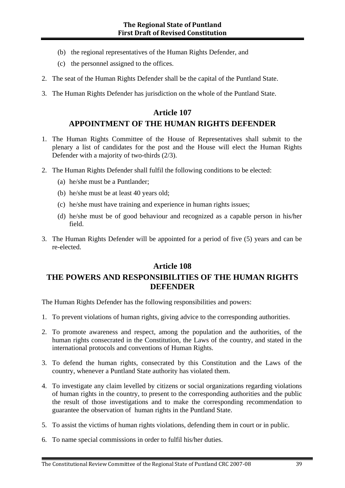- (b) the regional representatives of the Human Rights Defender, and
- (c) the personnel assigned to the offices.
- 2. The seat of the Human Rights Defender shall be the capital of the Puntland State.
- 3. The Human Rights Defender has jurisdiction on the whole of the Puntland State.

### **Article 107 APPOINTMENT OF THE HUMAN RIGHTS DEFENDER**

- 1. The Human Rights Committee of the House of Representatives shall submit to the plenary a list of candidates for the post and the House will elect the Human Rights Defender with a majority of two-thirds (2/3).
- 2. The Human Rights Defender shall fulfil the following conditions to be elected:
	- (a) he/she must be a Puntlander;
	- (b) he/she must be at least 40 years old;
	- (c) he/she must have training and experience in human rights issues;
	- (d) he/she must be of good behaviour and recognized as a capable person in his/her field.
- 3. The Human Rights Defender will be appointed for a period of five (5) years and can be re-elected.

### **Article 108 THE POWERS AND RESPONSIBILITIES OF THE HUMAN RIGHTS DEFENDER**

The Human Rights Defender has the following responsibilities and powers:

- 1. To prevent violations of human rights, giving advice to the corresponding authorities.
- 2. To promote awareness and respect, among the population and the authorities, of the human rights consecrated in the Constitution, the Laws of the country, and stated in the international protocols and conventions of Human Rights.
- 3. To defend the human rights, consecrated by this Constitution and the Laws of the country, whenever a Puntland State authority has violated them.
- 4. To investigate any claim levelled by citizens or social organizations regarding violations of human rights in the country, to present to the corresponding authorities and the public the result of those investigations and to make the corresponding recommendation to guarantee the observation of human rights in the Puntland State.
- 5. To assist the victims of human rights violations, defending them in court or in public.
- 6. To name special commissions in order to fulfil his/her duties.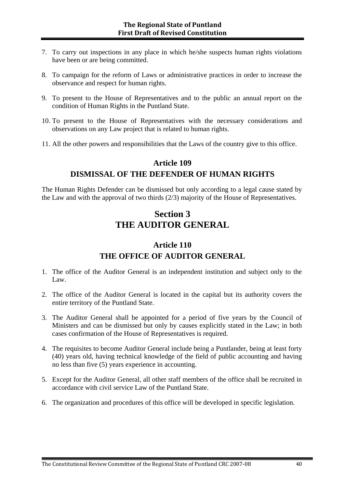- 7. To carry out inspections in any place in which he/she suspects human rights violations have been or are being committed.
- 8. To campaign for the reform of Laws or administrative practices in order to increase the observance and respect for human rights.
- 9. To present to the House of Representatives and to the public an annual report on the condition of Human Rights in the Puntland State.
- 10. To present to the House of Representatives with the necessary considerations and observations on any Law project that is related to human rights.
- 11. All the other powers and responsibilities that the Laws of the country give to this office.

#### **Article 109**

#### **DISMISSAL OF THE DEFENDER OF HUMAN RIGHTS**

The Human Rights Defender can be dismissed but only according to a legal cause stated by the Law and with the approval of two thirds (2/3) majority of the House of Representatives.

### **Section 3 THE AUDITOR GENERAL**

#### **Article 110**

#### **THE OFFICE OF AUDITOR GENERAL**

- 1. The office of the Auditor General is an independent institution and subject only to the Law.
- 2. The office of the Auditor General is located in the capital but its authority covers the entire territory of the Puntland State.
- 3. The Auditor General shall be appointed for a period of five years by the Council of Ministers and can be dismissed but only by causes explicitly stated in the Law; in both cases confirmation of the House of Representatives is required.
- 4. The requisites to become Auditor General include being a Puntlander, being at least forty (40) years old, having technical knowledge of the field of public accounting and having no less than five (5) years experience in accounting.
- 5. Except for the Auditor General, all other staff members of the office shall be recruited in accordance with civil service Law of the Puntland State.
- 6. The organization and procedures of this office will be developed in specific legislation.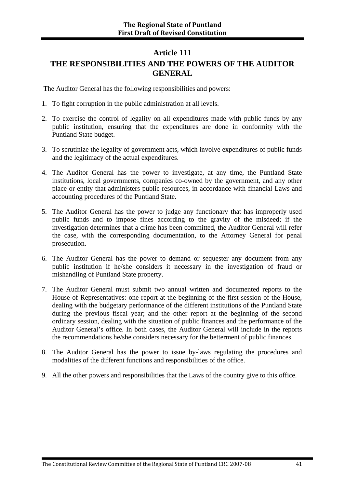#### **Article 111**

### **THE RESPONSIBILITIES AND THE POWERS OF THE AUDITOR GENERAL**

The Auditor General has the following responsibilities and powers:

- 1. To fight corruption in the public administration at all levels.
- 2. To exercise the control of legality on all expenditures made with public funds by any public institution, ensuring that the expenditures are done in conformity with the Puntland State budget.
- 3. To scrutinize the legality of government acts, which involve expenditures of public funds and the legitimacy of the actual expenditures.
- 4. The Auditor General has the power to investigate, at any time, the Puntland State institutions, local governments, companies co-owned by the government, and any other place or entity that administers public resources, in accordance with financial Laws and accounting procedures of the Puntland State.
- 5. The Auditor General has the power to judge any functionary that has improperly used public funds and to impose fines according to the gravity of the misdeed; if the investigation determines that a crime has been committed, the Auditor General will refer the case, with the corresponding documentation, to the Attorney General for penal prosecution.
- 6. The Auditor General has the power to demand or sequester any document from any public institution if he/she considers it necessary in the investigation of fraud or mishandling of Puntland State property.
- 7. The Auditor General must submit two annual written and documented reports to the House of Representatives: one report at the beginning of the first session of the House, dealing with the budgetary performance of the different institutions of the Puntland State during the previous fiscal year; and the other report at the beginning of the second ordinary session, dealing with the situation of public finances and the performance of the Auditor General's office. In both cases, the Auditor General will include in the reports the recommendations he/she considers necessary for the betterment of public finances.
- 8. The Auditor General has the power to issue by-laws regulating the procedures and modalities of the different functions and responsibilities of the office.
- 9. All the other powers and responsibilities that the Laws of the country give to this office.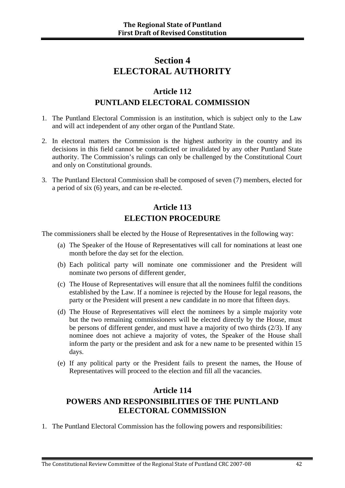### **Section 4 ELECTORAL AUTHORITY**

### **Article 112 PUNTLAND ELECTORAL COMMISSION**

- 1. The Puntland Electoral Commission is an institution, which is subject only to the Law and will act independent of any other organ of the Puntland State.
- 2. In electoral matters the Commission is the highest authority in the country and its decisions in this field cannot be contradicted or invalidated by any other Puntland State authority. The Commission's rulings can only be challenged by the Constitutional Court and only on Constitutional grounds.
- 3. The Puntland Electoral Commission shall be composed of seven (7) members, elected for a period of six (6) years, and can be re-elected.

### **Article 113 ELECTION PROCEDURE**

The commissioners shall be elected by the House of Representatives in the following way:

- (a) The Speaker of the House of Representatives will call for nominations at least one month before the day set for the election.
- (b) Each political party will nominate one commissioner and the President will nominate two persons of different gender,
- (c) The House of Representatives will ensure that all the nominees fulfil the conditions established by the Law. If a nominee is rejected by the House for legal reasons, the party or the President will present a new candidate in no more that fifteen days.
- (d) The House of Representatives will elect the nominees by a simple majority vote but the two remaining commissioners will be elected directly by the House, must be persons of different gender, and must have a majority of two thirds (2/3). If any nominee does not achieve a majority of votes, the Speaker of the House shall inform the party or the president and ask for a new name to be presented within 15 days.
- (e) If any political party or the President fails to present the names, the House of Representatives will proceed to the election and fill all the vacancies.

#### **Article 114**

### **POWERS AND RESPONSIBILITIES OF THE PUNTLAND ELECTORAL COMMISSION**

1. The Puntland Electoral Commission has the following powers and responsibilities: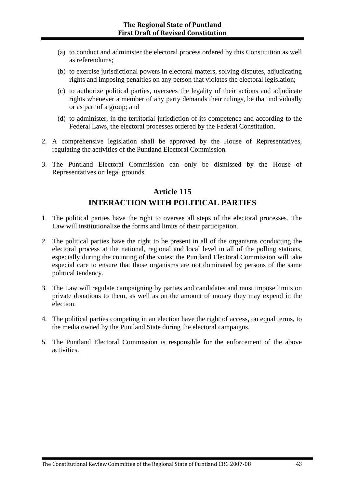- (a) to conduct and administer the electoral process ordered by this Constitution as well as referendums;
- (b) to exercise jurisdictional powers in electoral matters, solving disputes, adjudicating rights and imposing penalties on any person that violates the electoral legislation;
- (c) to authorize political parties, oversees the legality of their actions and adjudicate rights whenever a member of any party demands their rulings, be that individually or as part of a group; and
- (d) to administer, in the territorial jurisdiction of its competence and according to the Federal Laws, the electoral processes ordered by the Federal Constitution.
- 2. A comprehensive legislation shall be approved by the House of Representatives, regulating the activities of the Puntland Electoral Commission.
- 3. The Puntland Electoral Commission can only be dismissed by the House of Representatives on legal grounds.

### **Article 115 INTERACTION WITH POLITICAL PARTIES**

- 1. The political parties have the right to oversee all steps of the electoral processes. The Law will institutionalize the forms and limits of their participation.
- 2. The political parties have the right to be present in all of the organisms conducting the electoral process at the national, regional and local level in all of the polling stations, especially during the counting of the votes; the Puntland Electoral Commission will take especial care to ensure that those organisms are not dominated by persons of the same political tendency.
- 3. The Law will regulate campaigning by parties and candidates and must impose limits on private donations to them, as well as on the amount of money they may expend in the election.
- 4. The political parties competing in an election have the right of access, on equal terms, to the media owned by the Puntland State during the electoral campaigns.
- 5. The Puntland Electoral Commission is responsible for the enforcement of the above activities.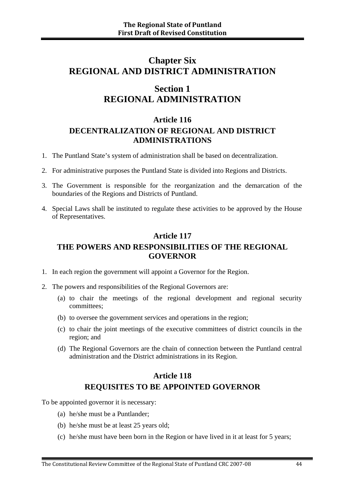### **Chapter Six REGIONAL AND DISTRICT ADMINISTRATION**

### **Section 1 REGIONAL ADMINISTRATION**

#### **Article 116 DECENTRALIZATION OF REGIONAL AND DISTRICT ADMINISTRATIONS**

- 1. The Puntland State's system of administration shall be based on decentralization.
- 2. For administrative purposes the Puntland State is divided into Regions and Districts.
- 3. The Government is responsible for the reorganization and the demarcation of the boundaries of the Regions and Districts of Puntland.
- 4. Special Laws shall be instituted to regulate these activities to be approved by the House of Representatives.

### **Article 117 THE POWERS AND RESPONSIBILITIES OF THE REGIONAL GOVERNOR**

- 1. In each region the government will appoint a Governor for the Region.
- 2. The powers and responsibilities of the Regional Governors are:
	- (a) to chair the meetings of the regional development and regional security committees;
	- (b) to oversee the government services and operations in the region;
	- (c) to chair the joint meetings of the executive committees of district councils in the region; and
	- (d) The Regional Governors are the chain of connection between the Puntland central administration and the District administrations in its Region.

### **Article 118 REQUISITES TO BE APPOINTED GOVERNOR**

To be appointed governor it is necessary:

- (a) he/she must be a Puntlander;
- (b) he/she must be at least 25 years old;
- (c) he/she must have been born in the Region or have lived in it at least for 5 years;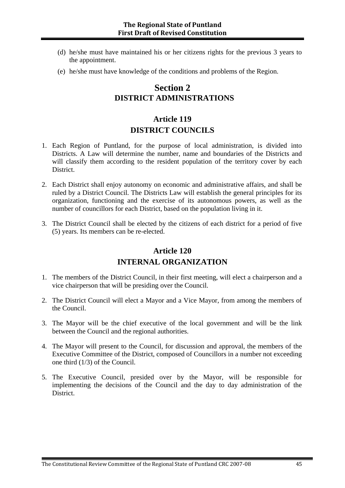- (d) he/she must have maintained his or her citizens rights for the previous 3 years to the appointment.
- (e) he/she must have knowledge of the conditions and problems of the Region.

### **Section 2 DISTRICT ADMINISTRATIONS**

### **Article 119 DISTRICT COUNCILS**

- 1. Each Region of Puntland, for the purpose of local administration, is divided into Districts. A Law will determine the number, name and boundaries of the Districts and will classify them according to the resident population of the territory cover by each District.
- 2. Each District shall enjoy autonomy on economic and administrative affairs, and shall be ruled by a District Council. The Districts Law will establish the general principles for its organization, functioning and the exercise of its autonomous powers, as well as the number of councillors for each District, based on the population living in it.
- 3. The District Council shall be elected by the citizens of each district for a period of five (5) years. Its members can be re-elected.

#### **Article 120**

#### **INTERNAL ORGANIZATION**

- 1. The members of the District Council, in their first meeting, will elect a chairperson and a vice chairperson that will be presiding over the Council.
- 2. The District Council will elect a Mayor and a Vice Mayor, from among the members of the Council.
- 3. The Mayor will be the chief executive of the local government and will be the link between the Council and the regional authorities.
- 4. The Mayor will present to the Council, for discussion and approval, the members of the Executive Committee of the District, composed of Councillors in a number not exceeding one third (1/3) of the Council.
- 5. The Executive Council, presided over by the Mayor, will be responsible for implementing the decisions of the Council and the day to day administration of the District.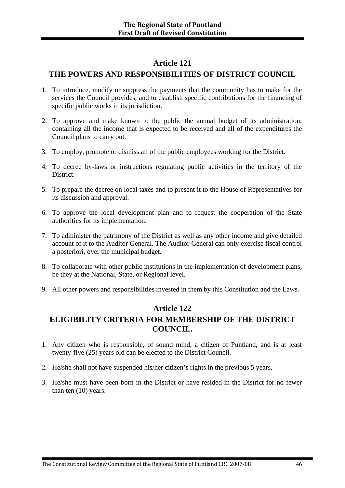#### **Article 121**

#### **THE POWERS AND RESPONSIBILITIES OF DISTRICT COUNCIL**

- 1. To introduce, modify or suppress the payments that the community has to make for the services the Council provides, and to establish specific contributions for the financing of specific public works in its jurisdiction.
- 2. To approve and make known to the public the annual budget of its administration, containing all the income that is expected to be received and all of the expenditures the Council plans to carry out.
- 3. To employ, promote or dismiss all of the public employees working for the District.
- 4. To decree by-laws or instructions regulating public activities in the territory of the District.
- 5. To prepare the decree on local taxes and to present it to the House of Representatives for its discussion and approval.
- 6. To approve the local development plan and to request the cooperation of the State authorities for its implementation.
- 7. To administer the patrimony of the District as well as any other income and give detailed account of it to the Auditor General. The Auditor General can only exercise fiscal control a posteriori, over the municipal budget.
- 8. To collaborate with other public institutions in the implementation of development plans, be they at the National, State, or Regional level.
- 9. All other powers and responsibilities invested in them by this Constitution and the Laws.

#### **Article 122**

### **ELIGIBILITY CRITERIA FOR MEMBERSHIP OF THE DISTRICT COUNCIL.**

- 1. Any citizen who is responsible, of sound mind, a citizen of Puntland, and is at least twenty-five (25) years old can be elected to the District Council.
- 2. He/she shall not have suspended his/her citizen's rights in the previous 5 years.
- 3. He/she must have been born in the District or have resided in the District for no fewer than ten (10) years.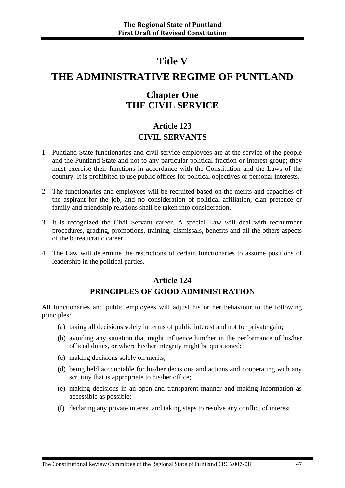### **Title V**

# **THE ADMINISTRATIVE REGIME OF PUNTLAND**

### **Chapter One THE CIVIL SERVICE**

### **Article 123 CIVIL SERVANTS**

- 1. Puntland State functionaries and civil service employees are at the service of the people and the Puntland State and not to any particular political fraction or interest group; they must exercise their functions in accordance with the Constitution and the Laws of the country. It is prohibited to use public offices for political objectives or personal interests.
- 2. The functionaries and employees will be recruited based on the merits and capacities of the aspirant for the job, and no consideration of political affiliation, clan pretence or family and friendship relations shall be taken into consideration.
- 3. It is recognized the Civil Servant career. A special Law will deal with recruitment procedures, grading, promotions, training, dismissals, benefits and all the others aspects of the bureaucratic career.
- 4. The Law will determine the restrictions of certain functionaries to assume positions of leadership in the political parties.

#### **Article 124 PRINCIPLES OF GOOD ADMINISTRATION**

All functionaries and public employees will adjust his or her behaviour to the following principles:

- (a) taking all decisions solely in terms of public interest and not for private gain;
- (b) avoiding any situation that might influence him/her in the performance of his/her official duties, or where his/her integrity might be questioned;
- (c) making decisions solely on merits;
- (d) being held accountable for his/her decisions and actions and cooperating with any scrutiny that is appropriate to his/her office;
- (e) making decisions in an open and transparent manner and making information as accessible as possible;
- (f) declaring any private interest and taking steps to resolve any conflict of interest.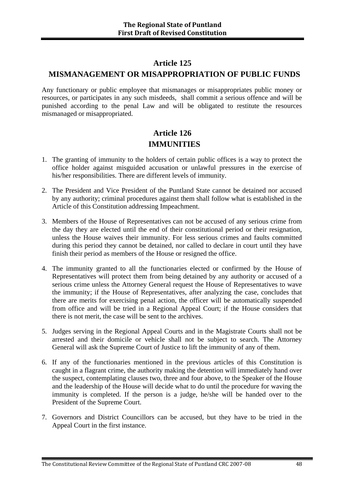#### **Article 125**

#### **MISMANAGEMENT OR MISAPPROPRIATION OF PUBLIC FUNDS**

Any functionary or public employee that mismanages or misappropriates public money or resources, or participates in any such misdeeds, shall commit a serious offence and will be punished according to the penal Law and will be obligated to restitute the resources mismanaged or misappropriated.

### **Article 126 IMMUNITIES**

- 1. The granting of immunity to the holders of certain public offices is a way to protect the office holder against misguided accusation or unlawful pressures in the exercise of his/her responsibilities. There are different levels of immunity.
- 2. The President and Vice President of the Puntland State cannot be detained nor accused by any authority; criminal procedures against them shall follow what is established in the Article of this Constitution addressing Impeachment.
- 3. Members of the House of Representatives can not be accused of any serious crime from the day they are elected until the end of their constitutional period or their resignation, unless the House waives their immunity. For less serious crimes and faults committed during this period they cannot be detained, nor called to declare in court until they have finish their period as members of the House or resigned the office.
- 4. The immunity granted to all the functionaries elected or confirmed by the House of Representatives will protect them from being detained by any authority or accused of a serious crime unless the Attorney General request the House of Representatives to wave the immunity; if the House of Representatives, after analyzing the case, concludes that there are merits for exercising penal action, the officer will be automatically suspended from office and will be tried in a Regional Appeal Court; if the House considers that there is not merit, the case will be sent to the archives.
- 5. Judges serving in the Regional Appeal Courts and in the Magistrate Courts shall not be arrested and their domicile or vehicle shall not be subject to search. The Attorney General will ask the Supreme Court of Justice to lift the immunity of any of them.
- 6. If any of the functionaries mentioned in the previous articles of this Constitution is caught in a flagrant crime, the authority making the detention will immediately hand over the suspect, contemplating clauses two, three and four above, to the Speaker of the House and the leadership of the House will decide what to do until the procedure for waving the immunity is completed. If the person is a judge, he/she will be handed over to the President of the Supreme Court.
- 7. Governors and District Councillors can be accused, but they have to be tried in the Appeal Court in the first instance.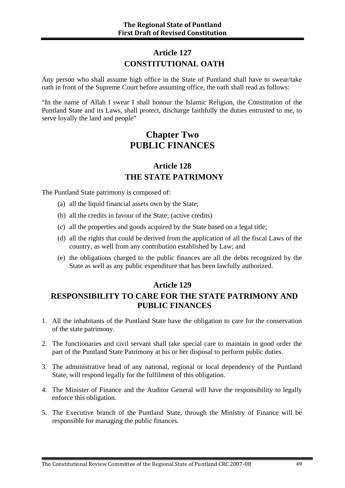### **Article 127 CONSTITUTIONAL OATH**

Any person who shall assume high office in the State of Puntland shall have to swear/take oath in front of the Supreme Court before assuming office, the oath shall read as follows:

"In the name of Allah I swear I shall honour the Islamic Religion, the Constitution of the Puntland State and its Laws, shall protect, discharge faithfully the duties entrusted to me, to serve loyally the land and people"

### **Chapter Two PUBLIC FINANCES**

### **Article 128 THE STATE PATRIMONY**

The Puntland State patrimony is composed of:

- (a) all the liquid financial assets own by the State;
- (b) all the credits in favour of the State; (active credits)
- (c) all the properties and goods acquired by the State based on a legal title;
- (d) all the rights that could be derived from the application of all the fiscal Laws of the country, as well from any contribution established by Law; and
- (e) the obligations charged to the public finances are all the debts recognized by the State as well as any public expenditure that has been lawfully authorized.

#### **Article 129**

#### **RESPONSIBILITY TO CARE FOR THE STATE PATRIMONY AND PUBLIC FINANCES**

- 1. All the inhabitants of the Puntland State have the obligation to care for the conservation of the state patrimony.
- 2. The functionaries and civil servant shall take special care to maintain in good order the part of the Puntland State Patrimony at his or her disposal to perform public duties.
- 3. The administrative head of any national, regional or local dependency of the Puntland State, will respond legally for the fulfilment of this obligation.
- 4. The Minister of Finance and the Auditor General will have the responsibility to legally enforce this obligation.
- 5. The Executive branch of the Puntland State, through the Ministry of Finance will be responsible for managing the public finances.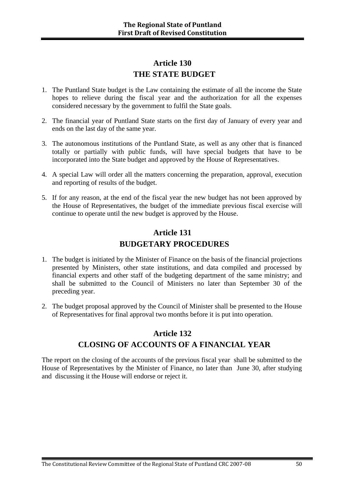#### **Article 130 THE STATE BUDGET**

- 1. The Puntland State budget is the Law containing the estimate of all the income the State hopes to relieve during the fiscal year and the authorization for all the expenses considered necessary by the government to fulfil the State goals.
- 2. The financial year of Puntland State starts on the first day of January of every year and ends on the last day of the same year.
- 3. The autonomous institutions of the Puntland State, as well as any other that is financed totally or partially with public funds, will have special budgets that have to be incorporated into the State budget and approved by the House of Representatives.
- 4. A special Law will order all the matters concerning the preparation, approval, execution and reporting of results of the budget.
- 5. If for any reason, at the end of the fiscal year the new budget has not been approved by the House of Representatives, the budget of the immediate previous fiscal exercise will continue to operate until the new budget is approved by the House.

### **Article 131 BUDGETARY PROCEDURES**

- 1. The budget is initiated by the Minister of Finance on the basis of the financial projections presented by Ministers, other state institutions, and data compiled and processed by financial experts and other staff of the budgeting department of the same ministry; and shall be submitted to the Council of Ministers no later than September 30 of the preceding year.
- 2. The budget proposal approved by the Council of Minister shall be presented to the House of Representatives for final approval two months before it is put into operation.

### **Article 132 CLOSING OF ACCOUNTS OF A FINANCIAL YEAR**

The report on the closing of the accounts of the previous fiscal year shall be submitted to the House of Representatives by the Minister of Finance, no later than June 30, after studying and discussing it the House will endorse or reject it.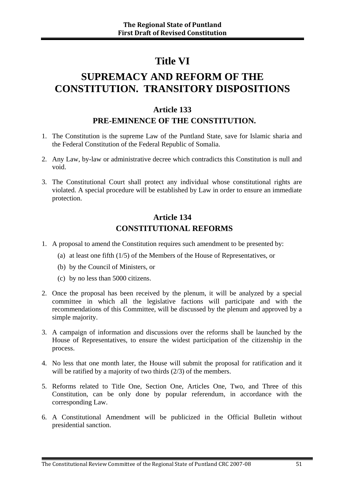# **Title VI**

# **SUPREMACY AND REFORM OF THE CONSTITUTION. TRANSITORY DISPOSITIONS**

#### **Article 133**

#### **PRE-EMINENCE OF THE CONSTITUTION.**

- 1. The Constitution is the supreme Law of the Puntland State, save for Islamic sharia and the Federal Constitution of the Federal Republic of Somalia.
- 2. Any Law, by-law or administrative decree which contradicts this Constitution is null and void.
- 3. The Constitutional Court shall protect any individual whose constitutional rights are violated. A special procedure will be established by Law in order to ensure an immediate protection.

#### **Article 134 CONSTITUTIONAL REFORMS**

- 1. A proposal to amend the Constitution requires such amendment to be presented by:
	- (a) at least one fifth (1/5) of the Members of the House of Representatives, or
	- (b) by the Council of Ministers, or
	- (c) by no less than 5000 citizens.
- 2. Once the proposal has been received by the plenum, it will be analyzed by a special committee in which all the legislative factions will participate and with the recommendations of this Committee, will be discussed by the plenum and approved by a simple majority.
- 3. A campaign of information and discussions over the reforms shall be launched by the House of Representatives, to ensure the widest participation of the citizenship in the process.
- 4. No less that one month later, the House will submit the proposal for ratification and it will be ratified by a majority of two thirds  $(2/3)$  of the members.
- 5. Reforms related to Title One, Section One, Articles One, Two, and Three of this Constitution, can be only done by popular referendum, in accordance with the corresponding Law.
- 6. A Constitutional Amendment will be publicized in the Official Bulletin without presidential sanction.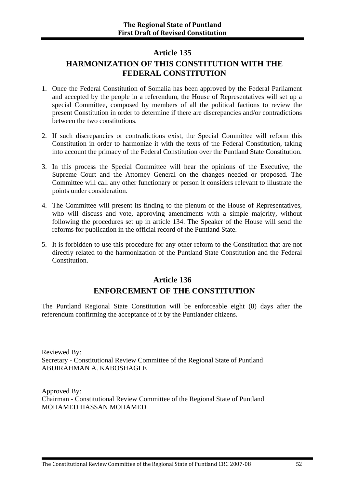#### **Article 135**

### **HARMONIZATION OF THIS CONSTITUTION WITH THE FEDERAL CONSTITUTION**

- 1. Once the Federal Constitution of Somalia has been approved by the Federal Parliament and accepted by the people in a referendum, the House of Representatives will set up a special Committee, composed by members of all the political factions to review the present Constitution in order to determine if there are discrepancies and/or contradictions between the two constitutions.
- 2. If such discrepancies or contradictions exist, the Special Committee will reform this Constitution in order to harmonize it with the texts of the Federal Constitution, taking into account the primacy of the Federal Constitution over the Puntland State Constitution.
- 3. In this process the Special Committee will hear the opinions of the Executive, the Supreme Court and the Attorney General on the changes needed or proposed. The Committee will call any other functionary or person it considers relevant to illustrate the points under consideration.
- 4. The Committee will present its finding to the plenum of the House of Representatives, who will discuss and vote, approving amendments with a simple majority, without following the procedures set up in article 134. The Speaker of the House will send the reforms for publication in the official record of the Puntland State.
- 5. It is forbidden to use this procedure for any other reform to the Constitution that are not directly related to the harmonization of the Puntland State Constitution and the Federal Constitution.

#### **Article 136 ENFORCEMENT OF THE CONSTITUTION**

The Puntland Regional State Constitution will be enforceable eight (8) days after the referendum confirming the acceptance of it by the Puntlander citizens.

Reviewed By: Secretary - Constitutional Review Committee of the Regional State of Puntland ABDIRAHMAN A. KABOSHAGLE

Approved By: Chairman - Constitutional Review Committee of the Regional State of Puntland MOHAMED HASSAN MOHAMED